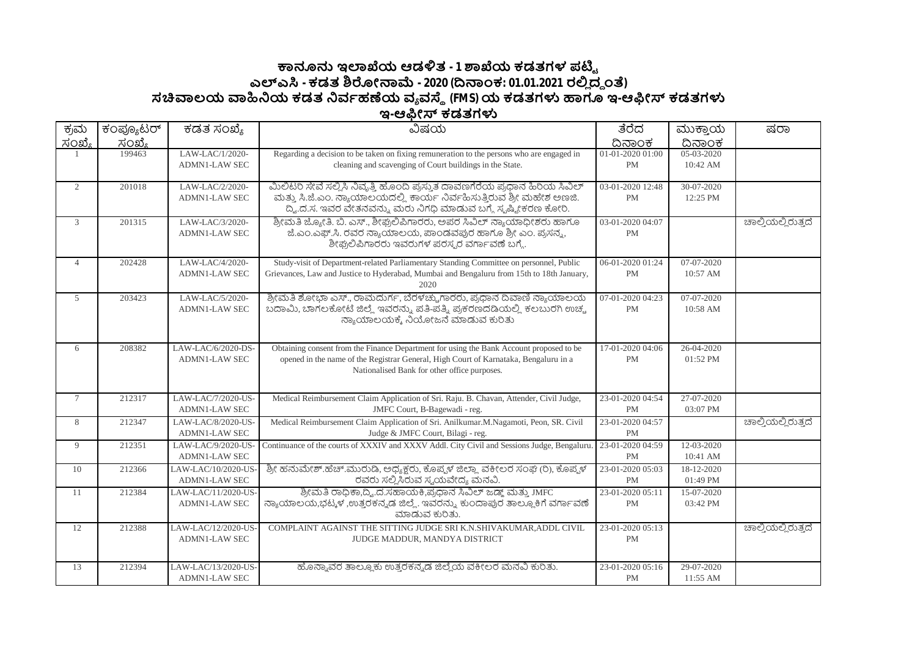## **౽ඞඝ ಇมಒಯ ಆಡัತ - 1 ๎ಒಯ ಕಡತಗಳ ಪഔౣ ಎฯ ಎ - ಕಡತ ๏ฌೕක෫ - 2020 (ൽකಂಕ: 01.01.2021 ರย ದ౪ ಂ) ಸ฿ಲಯ ฿ඛಯ ಕಡತ ඛವბಹൕಯ ವ ವ౩ (FMS)ಯ ಕಡತಗำ ಟಇ-ಆඹೕ ಕಡತಗำ ಇ-ಆඹೕ ಕಡತಗำ**

| <u>ಸಂಖ್ಯೆ</u><br><u>ದಿನಾಂಕ</u><br><u>ದಿನಾಂಕ</u><br><u>ಸಂಖ್ಯೆ</u><br>LAW-LAC/1/2020-<br>05-03-2020<br>199463<br>Regarding a decision to be taken on fixing remuneration to the persons who are engaged in<br>01-01-2020 01:00<br>cleaning and scavenging of Court buildings in the State.<br><b>ADMN1-LAW SEC</b><br><b>PM</b><br>10:42 AM<br>ಮಿಲಿಟರಿ ಸೇವೆ ಸಲ್ಲಿಸಿ ನಿವೃತ್ತಿ ಹೊಂದಿ ಪ್ರಸ್ತುತ ದಾವಣಗೆರೆಯ ಪ್ರಧಾನ ಹಿರಿಯ ಸಿವಿಲ್<br>LAW-LAC/2/2020-<br>03-01-2020 12:48<br>30-07-2020<br>2<br>201018<br>ಮತ್ತು ಸಿ.ಜೆ.ಎಂ. ನ್ಯಾಯಾಲಯದಲ್ಲಿ ಕಾರ್ಯ ನಿರ್ವಹಿಸುತ್ತಿರುವ ಶ್ರೀ ಮಹೇಶ ಅಣಜಿ.<br><b>ADMN1-LAW SEC</b><br><b>PM</b><br>12:25 PM<br>ದ್ವಿ.ದ.ಸ. ಇವರ ವೇತನವನ್ನು ಮರು ನಿಗಧಿ ಮಾಡುವ ಬಗ್ಗೆ ಸ್ನಷ್ಟೀಕರಣ ಕೋರಿ.<br>ಶ್ರೀಮತಿ ಜ್ಯೋತಿ. ಬಿ. ಎಸ್., ಶೀಘ್ರಲಿಪಿಗಾರರು, ಅಪರ ಸಿವಿಲ್ ನ್ಯಾಯಾಧೀಶರು ಹಾಗೂ<br>LAW-LAC/3/2020-<br>03-01-2020 04:07<br>ಚಾಲ್ತಿಯಲ್ಲಿರುತ್ತದೆ<br>$\mathfrak{Z}$<br>201315<br>ಜೆ.ಎಂ.ಎಫ್.ಸಿ. ರವರ ನ್ಯಾಯಾಲಯ, ಪಾಂಡವಪುರ ಹಾಗೂ ಶ್ರೀ ಎಂ. ಪ್ರಸನ್ನ,<br><b>ADMN1-LAW SEC</b><br><b>PM</b><br>ಶೀಘ್ರಲಿಪಿಗಾರರು ಇವರುಗಳ ಪರಸ್ಪರ ವರ್ಗಾವಣೆ ಬಗ್ಗೆ.<br>LAW-LAC/4/2020-<br>Study-visit of Department-related Parliamentary Standing Committee on personnel, Public<br>06-01-2020 01:24<br>07-07-2020<br>$\overline{4}$<br>202428<br>Grievances, Law and Justice to Hyderabad, Mumbai and Bengaluru from 15th to 18th January,<br><b>ADMN1-LAW SEC</b><br>PM<br>10:57 AM<br>2020<br>ಶ್ರೀಮತಿ ಶೋಭಾ ಎಸ್., ರಾಮದುರ್ಗ, ಬೆರಳಚ್ಚು.ಗಾರರು, ಪ್ರಧಾನ ದಿವಾಣಿ ನ್ಯಾಯಾಲಯ<br>LAW-LAC/5/2020-<br>07-01-2020 04:23<br>07-07-2020<br>5<br>203423<br>ಬದಾಮಿ, ಬಾಗಲಕೋಟೆ ಜಿಲ್ಲೆ ಇವರನ್ನು ಪತಿ-ಪತ್ನಿ ಪ್ರಕರಣದಡಿಯಲ್ಲಿ ಕಲಬುರಗಿ ಉಚ್ಚ<br><b>ADMN1-LAW SEC</b><br><b>PM</b><br>10:58 AM<br>ನ್ಯಾಯಾಲಯಕ್ಕೆ ನಿಯೋಜನೆ ಮಾಡುವ ಕುರಿತು<br>LAW-LAC/6/2020-DS-<br>17-01-2020 04:06<br>26-04-2020<br>208382<br>Obtaining consent from the Finance Department for using the Bank Account proposed to be<br>6<br>opened in the name of the Registrar General, High Court of Karnataka, Bengaluru in a<br><b>ADMN1-LAW SEC</b><br><b>PM</b><br>01:52 PM<br>Nationalised Bank for other office purposes.<br>Medical Reimbursement Claim Application of Sri. Raju. B. Chavan, Attender, Civil Judge,<br>212317<br>LAW-LAC/7/2020-US-<br>23-01-2020 04:54<br>27-07-2020<br>$7\overline{ }$<br><b>ADMN1-LAW SEC</b><br>JMFC Court, B-Bagewadi - reg.<br><b>PM</b><br>03:07 PM<br>Medical Reimbursement Claim Application of Sri. Anilkumar.M.Nagamoti, Peon, SR. Civil<br>8<br>212347<br>LAW-LAC/8/2020-US-<br>23-01-2020 04:57<br>ಚಾಲ್ತಿಯಲ್ಲಿರುತ್ತದೆ<br>Judge & JMFC Court, Bilagi - reg.<br><b>ADMN1-LAW SEC</b><br><b>PM</b><br>Continuance of the courts of XXXIV and XXXV Addl. City Civil and Sessions Judge, Bengaluru<br>LAW-LAC/9/2020-US-<br>23-01-2020 04:59<br>12-03-2020<br>9<br>212351<br><b>ADMN1-LAW SEC</b><br>10:41 AM<br><b>PM</b><br>ಶ್ರೀ ಹನುಮೇಶ್.ಹೆಚ್.ಮುರುಡಿ, ಅಧ್ಯಕ್ಷರು, ಕೊಪ್ಪಳ ಜಿಲ್ಲಾ ವಕೀಲರ ಸಂಘ (ರಿ), ಕೊಪ್ಪಳ<br>LAW-LAC/10/2020-US-<br>212366<br>23-01-2020 05:03<br>18-12-2020<br>10<br>ರವರು ಸಲ್ಲಿಸಿರುವ ಸ್ಯಯವೇದ್ಯ ಮನವಿ.<br><b>ADMN1-LAW SEC</b><br>01:49 PM<br><b>PM</b><br>ಶ್ರೀಮತಿ ರಾಧಿಕಾ,ದ್ವಿ.ದ.ಸಹಾಯಕಿ,ಪ್ರಧಾನ ಸಿವಿಲ್ ಜಡ್ಜ್ ಮತ್ತು JMFC<br>212384<br>LAW-LAC/11/2020-US-<br>15-07-2020<br>23-01-2020 05:11<br>11<br>ನ್ಯಾಯಾಲಯ,ಭಟ್ಕಳ,ಉತ್ತರಕನ್ನಡ ಜಿಲ್ಲೆ. ಇವರನ್ನು ಕುಂದಾಪುರ ತಾಲ್ಲೂಕಿಗೆ ವರ್ಗಾವಣೆ<br><b>ADMN1-LAW SEC</b><br>PM<br>03:42 PM<br>ಮಾಡುವ ಕುರಿತು.<br>LAW-LAC/12/2020-US-<br>23-01-2020 05:13<br>ಚಾಲ್ತಿಯಲ್ಲಿರುತ್ತದೆ<br>212388<br>COMPLAINT AGAINST THE SITTING JUDGE SRI K.N.SHIVAKUMAR.ADDL CIVIL<br>12<br><b>ADMN1-LAW SEC</b><br>JUDGE MADDUR, MANDYA DISTRICT<br><b>PM</b><br>LAW-LAC/13/2020-US-<br>ಹೊನ್ನಾವರ ತಾಲ್ಲೂಕು ಉತ್ತರಕನ್ನಡ ಜಿಲ್ಲೆಯ ವಕೀಲರ ಮನವಿ ಕುರಿತು.<br>29-07-2020<br>212394<br>23-01-2020 05:16<br>13 | ಕ್ರಮ | ಕಂಪ್ಯೂಟರ್ | ಕಡತ ಸಂಖ್ಯೆ           | ವಿಷಯ | ತೆರೆದ | ಮುಕ್ತಾಯ    | ಷರಾ |
|----------------------------------------------------------------------------------------------------------------------------------------------------------------------------------------------------------------------------------------------------------------------------------------------------------------------------------------------------------------------------------------------------------------------------------------------------------------------------------------------------------------------------------------------------------------------------------------------------------------------------------------------------------------------------------------------------------------------------------------------------------------------------------------------------------------------------------------------------------------------------------------------------------------------------------------------------------------------------------------------------------------------------------------------------------------------------------------------------------------------------------------------------------------------------------------------------------------------------------------------------------------------------------------------------------------------------------------------------------------------------------------------------------------------------------------------------------------------------------------------------------------------------------------------------------------------------------------------------------------------------------------------------------------------------------------------------------------------------------------------------------------------------------------------------------------------------------------------------------------------------------------------------------------------------------------------------------------------------------------------------------------------------------------------------------------------------------------------------------------------------------------------------------------------------------------------------------------------------------------------------------------------------------------------------------------------------------------------------------------------------------------------------------------------------------------------------------------------------------------------------------------------------------------------------------------------------------------------------------------------------------------------------------------------------------------------------------------------------------------------------------------------------------------------------------------------------------------------------------------------------------------------------------------------------------------------------------------------------------------------------------------------------------------------------------------------------------------------------------------------------------------------------------------------------------------------------------------------------------------------------------------------------------------------------------------------------------------------------------------------------------------------------------------------------------------------------------------------------------------------------------------------------------------------------------------------------------------------------------------------------------------------|------|-----------|----------------------|------|-------|------------|-----|
|                                                                                                                                                                                                                                                                                                                                                                                                                                                                                                                                                                                                                                                                                                                                                                                                                                                                                                                                                                                                                                                                                                                                                                                                                                                                                                                                                                                                                                                                                                                                                                                                                                                                                                                                                                                                                                                                                                                                                                                                                                                                                                                                                                                                                                                                                                                                                                                                                                                                                                                                                                                                                                                                                                                                                                                                                                                                                                                                                                                                                                                                                                                                                                                                                                                                                                                                                                                                                                                                                                                                                                                                                                              |      |           |                      |      |       |            |     |
|                                                                                                                                                                                                                                                                                                                                                                                                                                                                                                                                                                                                                                                                                                                                                                                                                                                                                                                                                                                                                                                                                                                                                                                                                                                                                                                                                                                                                                                                                                                                                                                                                                                                                                                                                                                                                                                                                                                                                                                                                                                                                                                                                                                                                                                                                                                                                                                                                                                                                                                                                                                                                                                                                                                                                                                                                                                                                                                                                                                                                                                                                                                                                                                                                                                                                                                                                                                                                                                                                                                                                                                                                                              |      |           |                      |      |       |            |     |
|                                                                                                                                                                                                                                                                                                                                                                                                                                                                                                                                                                                                                                                                                                                                                                                                                                                                                                                                                                                                                                                                                                                                                                                                                                                                                                                                                                                                                                                                                                                                                                                                                                                                                                                                                                                                                                                                                                                                                                                                                                                                                                                                                                                                                                                                                                                                                                                                                                                                                                                                                                                                                                                                                                                                                                                                                                                                                                                                                                                                                                                                                                                                                                                                                                                                                                                                                                                                                                                                                                                                                                                                                                              |      |           |                      |      |       |            |     |
|                                                                                                                                                                                                                                                                                                                                                                                                                                                                                                                                                                                                                                                                                                                                                                                                                                                                                                                                                                                                                                                                                                                                                                                                                                                                                                                                                                                                                                                                                                                                                                                                                                                                                                                                                                                                                                                                                                                                                                                                                                                                                                                                                                                                                                                                                                                                                                                                                                                                                                                                                                                                                                                                                                                                                                                                                                                                                                                                                                                                                                                                                                                                                                                                                                                                                                                                                                                                                                                                                                                                                                                                                                              |      |           |                      |      |       |            |     |
|                                                                                                                                                                                                                                                                                                                                                                                                                                                                                                                                                                                                                                                                                                                                                                                                                                                                                                                                                                                                                                                                                                                                                                                                                                                                                                                                                                                                                                                                                                                                                                                                                                                                                                                                                                                                                                                                                                                                                                                                                                                                                                                                                                                                                                                                                                                                                                                                                                                                                                                                                                                                                                                                                                                                                                                                                                                                                                                                                                                                                                                                                                                                                                                                                                                                                                                                                                                                                                                                                                                                                                                                                                              |      |           |                      |      |       |            |     |
|                                                                                                                                                                                                                                                                                                                                                                                                                                                                                                                                                                                                                                                                                                                                                                                                                                                                                                                                                                                                                                                                                                                                                                                                                                                                                                                                                                                                                                                                                                                                                                                                                                                                                                                                                                                                                                                                                                                                                                                                                                                                                                                                                                                                                                                                                                                                                                                                                                                                                                                                                                                                                                                                                                                                                                                                                                                                                                                                                                                                                                                                                                                                                                                                                                                                                                                                                                                                                                                                                                                                                                                                                                              |      |           |                      |      |       |            |     |
|                                                                                                                                                                                                                                                                                                                                                                                                                                                                                                                                                                                                                                                                                                                                                                                                                                                                                                                                                                                                                                                                                                                                                                                                                                                                                                                                                                                                                                                                                                                                                                                                                                                                                                                                                                                                                                                                                                                                                                                                                                                                                                                                                                                                                                                                                                                                                                                                                                                                                                                                                                                                                                                                                                                                                                                                                                                                                                                                                                                                                                                                                                                                                                                                                                                                                                                                                                                                                                                                                                                                                                                                                                              |      |           |                      |      |       |            |     |
|                                                                                                                                                                                                                                                                                                                                                                                                                                                                                                                                                                                                                                                                                                                                                                                                                                                                                                                                                                                                                                                                                                                                                                                                                                                                                                                                                                                                                                                                                                                                                                                                                                                                                                                                                                                                                                                                                                                                                                                                                                                                                                                                                                                                                                                                                                                                                                                                                                                                                                                                                                                                                                                                                                                                                                                                                                                                                                                                                                                                                                                                                                                                                                                                                                                                                                                                                                                                                                                                                                                                                                                                                                              |      |           |                      |      |       |            |     |
|                                                                                                                                                                                                                                                                                                                                                                                                                                                                                                                                                                                                                                                                                                                                                                                                                                                                                                                                                                                                                                                                                                                                                                                                                                                                                                                                                                                                                                                                                                                                                                                                                                                                                                                                                                                                                                                                                                                                                                                                                                                                                                                                                                                                                                                                                                                                                                                                                                                                                                                                                                                                                                                                                                                                                                                                                                                                                                                                                                                                                                                                                                                                                                                                                                                                                                                                                                                                                                                                                                                                                                                                                                              |      |           |                      |      |       |            |     |
|                                                                                                                                                                                                                                                                                                                                                                                                                                                                                                                                                                                                                                                                                                                                                                                                                                                                                                                                                                                                                                                                                                                                                                                                                                                                                                                                                                                                                                                                                                                                                                                                                                                                                                                                                                                                                                                                                                                                                                                                                                                                                                                                                                                                                                                                                                                                                                                                                                                                                                                                                                                                                                                                                                                                                                                                                                                                                                                                                                                                                                                                                                                                                                                                                                                                                                                                                                                                                                                                                                                                                                                                                                              |      |           |                      |      |       |            |     |
|                                                                                                                                                                                                                                                                                                                                                                                                                                                                                                                                                                                                                                                                                                                                                                                                                                                                                                                                                                                                                                                                                                                                                                                                                                                                                                                                                                                                                                                                                                                                                                                                                                                                                                                                                                                                                                                                                                                                                                                                                                                                                                                                                                                                                                                                                                                                                                                                                                                                                                                                                                                                                                                                                                                                                                                                                                                                                                                                                                                                                                                                                                                                                                                                                                                                                                                                                                                                                                                                                                                                                                                                                                              |      |           |                      |      |       |            |     |
|                                                                                                                                                                                                                                                                                                                                                                                                                                                                                                                                                                                                                                                                                                                                                                                                                                                                                                                                                                                                                                                                                                                                                                                                                                                                                                                                                                                                                                                                                                                                                                                                                                                                                                                                                                                                                                                                                                                                                                                                                                                                                                                                                                                                                                                                                                                                                                                                                                                                                                                                                                                                                                                                                                                                                                                                                                                                                                                                                                                                                                                                                                                                                                                                                                                                                                                                                                                                                                                                                                                                                                                                                                              |      |           |                      |      |       |            |     |
|                                                                                                                                                                                                                                                                                                                                                                                                                                                                                                                                                                                                                                                                                                                                                                                                                                                                                                                                                                                                                                                                                                                                                                                                                                                                                                                                                                                                                                                                                                                                                                                                                                                                                                                                                                                                                                                                                                                                                                                                                                                                                                                                                                                                                                                                                                                                                                                                                                                                                                                                                                                                                                                                                                                                                                                                                                                                                                                                                                                                                                                                                                                                                                                                                                                                                                                                                                                                                                                                                                                                                                                                                                              |      |           |                      |      |       |            |     |
|                                                                                                                                                                                                                                                                                                                                                                                                                                                                                                                                                                                                                                                                                                                                                                                                                                                                                                                                                                                                                                                                                                                                                                                                                                                                                                                                                                                                                                                                                                                                                                                                                                                                                                                                                                                                                                                                                                                                                                                                                                                                                                                                                                                                                                                                                                                                                                                                                                                                                                                                                                                                                                                                                                                                                                                                                                                                                                                                                                                                                                                                                                                                                                                                                                                                                                                                                                                                                                                                                                                                                                                                                                              |      |           |                      |      |       |            |     |
|                                                                                                                                                                                                                                                                                                                                                                                                                                                                                                                                                                                                                                                                                                                                                                                                                                                                                                                                                                                                                                                                                                                                                                                                                                                                                                                                                                                                                                                                                                                                                                                                                                                                                                                                                                                                                                                                                                                                                                                                                                                                                                                                                                                                                                                                                                                                                                                                                                                                                                                                                                                                                                                                                                                                                                                                                                                                                                                                                                                                                                                                                                                                                                                                                                                                                                                                                                                                                                                                                                                                                                                                                                              |      |           |                      |      |       |            |     |
|                                                                                                                                                                                                                                                                                                                                                                                                                                                                                                                                                                                                                                                                                                                                                                                                                                                                                                                                                                                                                                                                                                                                                                                                                                                                                                                                                                                                                                                                                                                                                                                                                                                                                                                                                                                                                                                                                                                                                                                                                                                                                                                                                                                                                                                                                                                                                                                                                                                                                                                                                                                                                                                                                                                                                                                                                                                                                                                                                                                                                                                                                                                                                                                                                                                                                                                                                                                                                                                                                                                                                                                                                                              |      |           |                      |      |       |            |     |
|                                                                                                                                                                                                                                                                                                                                                                                                                                                                                                                                                                                                                                                                                                                                                                                                                                                                                                                                                                                                                                                                                                                                                                                                                                                                                                                                                                                                                                                                                                                                                                                                                                                                                                                                                                                                                                                                                                                                                                                                                                                                                                                                                                                                                                                                                                                                                                                                                                                                                                                                                                                                                                                                                                                                                                                                                                                                                                                                                                                                                                                                                                                                                                                                                                                                                                                                                                                                                                                                                                                                                                                                                                              |      |           |                      |      |       |            |     |
|                                                                                                                                                                                                                                                                                                                                                                                                                                                                                                                                                                                                                                                                                                                                                                                                                                                                                                                                                                                                                                                                                                                                                                                                                                                                                                                                                                                                                                                                                                                                                                                                                                                                                                                                                                                                                                                                                                                                                                                                                                                                                                                                                                                                                                                                                                                                                                                                                                                                                                                                                                                                                                                                                                                                                                                                                                                                                                                                                                                                                                                                                                                                                                                                                                                                                                                                                                                                                                                                                                                                                                                                                                              |      |           |                      |      |       |            |     |
|                                                                                                                                                                                                                                                                                                                                                                                                                                                                                                                                                                                                                                                                                                                                                                                                                                                                                                                                                                                                                                                                                                                                                                                                                                                                                                                                                                                                                                                                                                                                                                                                                                                                                                                                                                                                                                                                                                                                                                                                                                                                                                                                                                                                                                                                                                                                                                                                                                                                                                                                                                                                                                                                                                                                                                                                                                                                                                                                                                                                                                                                                                                                                                                                                                                                                                                                                                                                                                                                                                                                                                                                                                              |      |           |                      |      |       |            |     |
|                                                                                                                                                                                                                                                                                                                                                                                                                                                                                                                                                                                                                                                                                                                                                                                                                                                                                                                                                                                                                                                                                                                                                                                                                                                                                                                                                                                                                                                                                                                                                                                                                                                                                                                                                                                                                                                                                                                                                                                                                                                                                                                                                                                                                                                                                                                                                                                                                                                                                                                                                                                                                                                                                                                                                                                                                                                                                                                                                                                                                                                                                                                                                                                                                                                                                                                                                                                                                                                                                                                                                                                                                                              |      |           |                      |      |       |            |     |
|                                                                                                                                                                                                                                                                                                                                                                                                                                                                                                                                                                                                                                                                                                                                                                                                                                                                                                                                                                                                                                                                                                                                                                                                                                                                                                                                                                                                                                                                                                                                                                                                                                                                                                                                                                                                                                                                                                                                                                                                                                                                                                                                                                                                                                                                                                                                                                                                                                                                                                                                                                                                                                                                                                                                                                                                                                                                                                                                                                                                                                                                                                                                                                                                                                                                                                                                                                                                                                                                                                                                                                                                                                              |      |           |                      |      |       |            |     |
|                                                                                                                                                                                                                                                                                                                                                                                                                                                                                                                                                                                                                                                                                                                                                                                                                                                                                                                                                                                                                                                                                                                                                                                                                                                                                                                                                                                                                                                                                                                                                                                                                                                                                                                                                                                                                                                                                                                                                                                                                                                                                                                                                                                                                                                                                                                                                                                                                                                                                                                                                                                                                                                                                                                                                                                                                                                                                                                                                                                                                                                                                                                                                                                                                                                                                                                                                                                                                                                                                                                                                                                                                                              |      |           |                      |      |       |            |     |
|                                                                                                                                                                                                                                                                                                                                                                                                                                                                                                                                                                                                                                                                                                                                                                                                                                                                                                                                                                                                                                                                                                                                                                                                                                                                                                                                                                                                                                                                                                                                                                                                                                                                                                                                                                                                                                                                                                                                                                                                                                                                                                                                                                                                                                                                                                                                                                                                                                                                                                                                                                                                                                                                                                                                                                                                                                                                                                                                                                                                                                                                                                                                                                                                                                                                                                                                                                                                                                                                                                                                                                                                                                              |      |           |                      |      |       |            |     |
|                                                                                                                                                                                                                                                                                                                                                                                                                                                                                                                                                                                                                                                                                                                                                                                                                                                                                                                                                                                                                                                                                                                                                                                                                                                                                                                                                                                                                                                                                                                                                                                                                                                                                                                                                                                                                                                                                                                                                                                                                                                                                                                                                                                                                                                                                                                                                                                                                                                                                                                                                                                                                                                                                                                                                                                                                                                                                                                                                                                                                                                                                                                                                                                                                                                                                                                                                                                                                                                                                                                                                                                                                                              |      |           |                      |      |       |            |     |
|                                                                                                                                                                                                                                                                                                                                                                                                                                                                                                                                                                                                                                                                                                                                                                                                                                                                                                                                                                                                                                                                                                                                                                                                                                                                                                                                                                                                                                                                                                                                                                                                                                                                                                                                                                                                                                                                                                                                                                                                                                                                                                                                                                                                                                                                                                                                                                                                                                                                                                                                                                                                                                                                                                                                                                                                                                                                                                                                                                                                                                                                                                                                                                                                                                                                                                                                                                                                                                                                                                                                                                                                                                              |      |           |                      |      |       |            |     |
|                                                                                                                                                                                                                                                                                                                                                                                                                                                                                                                                                                                                                                                                                                                                                                                                                                                                                                                                                                                                                                                                                                                                                                                                                                                                                                                                                                                                                                                                                                                                                                                                                                                                                                                                                                                                                                                                                                                                                                                                                                                                                                                                                                                                                                                                                                                                                                                                                                                                                                                                                                                                                                                                                                                                                                                                                                                                                                                                                                                                                                                                                                                                                                                                                                                                                                                                                                                                                                                                                                                                                                                                                                              |      |           |                      |      |       |            |     |
|                                                                                                                                                                                                                                                                                                                                                                                                                                                                                                                                                                                                                                                                                                                                                                                                                                                                                                                                                                                                                                                                                                                                                                                                                                                                                                                                                                                                                                                                                                                                                                                                                                                                                                                                                                                                                                                                                                                                                                                                                                                                                                                                                                                                                                                                                                                                                                                                                                                                                                                                                                                                                                                                                                                                                                                                                                                                                                                                                                                                                                                                                                                                                                                                                                                                                                                                                                                                                                                                                                                                                                                                                                              |      |           |                      |      |       |            |     |
|                                                                                                                                                                                                                                                                                                                                                                                                                                                                                                                                                                                                                                                                                                                                                                                                                                                                                                                                                                                                                                                                                                                                                                                                                                                                                                                                                                                                                                                                                                                                                                                                                                                                                                                                                                                                                                                                                                                                                                                                                                                                                                                                                                                                                                                                                                                                                                                                                                                                                                                                                                                                                                                                                                                                                                                                                                                                                                                                                                                                                                                                                                                                                                                                                                                                                                                                                                                                                                                                                                                                                                                                                                              |      |           |                      |      |       |            |     |
|                                                                                                                                                                                                                                                                                                                                                                                                                                                                                                                                                                                                                                                                                                                                                                                                                                                                                                                                                                                                                                                                                                                                                                                                                                                                                                                                                                                                                                                                                                                                                                                                                                                                                                                                                                                                                                                                                                                                                                                                                                                                                                                                                                                                                                                                                                                                                                                                                                                                                                                                                                                                                                                                                                                                                                                                                                                                                                                                                                                                                                                                                                                                                                                                                                                                                                                                                                                                                                                                                                                                                                                                                                              |      |           |                      |      |       |            |     |
|                                                                                                                                                                                                                                                                                                                                                                                                                                                                                                                                                                                                                                                                                                                                                                                                                                                                                                                                                                                                                                                                                                                                                                                                                                                                                                                                                                                                                                                                                                                                                                                                                                                                                                                                                                                                                                                                                                                                                                                                                                                                                                                                                                                                                                                                                                                                                                                                                                                                                                                                                                                                                                                                                                                                                                                                                                                                                                                                                                                                                                                                                                                                                                                                                                                                                                                                                                                                                                                                                                                                                                                                                                              |      |           |                      |      |       |            |     |
|                                                                                                                                                                                                                                                                                                                                                                                                                                                                                                                                                                                                                                                                                                                                                                                                                                                                                                                                                                                                                                                                                                                                                                                                                                                                                                                                                                                                                                                                                                                                                                                                                                                                                                                                                                                                                                                                                                                                                                                                                                                                                                                                                                                                                                                                                                                                                                                                                                                                                                                                                                                                                                                                                                                                                                                                                                                                                                                                                                                                                                                                                                                                                                                                                                                                                                                                                                                                                                                                                                                                                                                                                                              |      |           |                      |      |       |            |     |
|                                                                                                                                                                                                                                                                                                                                                                                                                                                                                                                                                                                                                                                                                                                                                                                                                                                                                                                                                                                                                                                                                                                                                                                                                                                                                                                                                                                                                                                                                                                                                                                                                                                                                                                                                                                                                                                                                                                                                                                                                                                                                                                                                                                                                                                                                                                                                                                                                                                                                                                                                                                                                                                                                                                                                                                                                                                                                                                                                                                                                                                                                                                                                                                                                                                                                                                                                                                                                                                                                                                                                                                                                                              |      |           |                      |      |       |            |     |
|                                                                                                                                                                                                                                                                                                                                                                                                                                                                                                                                                                                                                                                                                                                                                                                                                                                                                                                                                                                                                                                                                                                                                                                                                                                                                                                                                                                                                                                                                                                                                                                                                                                                                                                                                                                                                                                                                                                                                                                                                                                                                                                                                                                                                                                                                                                                                                                                                                                                                                                                                                                                                                                                                                                                                                                                                                                                                                                                                                                                                                                                                                                                                                                                                                                                                                                                                                                                                                                                                                                                                                                                                                              |      |           |                      |      |       |            |     |
|                                                                                                                                                                                                                                                                                                                                                                                                                                                                                                                                                                                                                                                                                                                                                                                                                                                                                                                                                                                                                                                                                                                                                                                                                                                                                                                                                                                                                                                                                                                                                                                                                                                                                                                                                                                                                                                                                                                                                                                                                                                                                                                                                                                                                                                                                                                                                                                                                                                                                                                                                                                                                                                                                                                                                                                                                                                                                                                                                                                                                                                                                                                                                                                                                                                                                                                                                                                                                                                                                                                                                                                                                                              |      |           |                      |      |       |            |     |
|                                                                                                                                                                                                                                                                                                                                                                                                                                                                                                                                                                                                                                                                                                                                                                                                                                                                                                                                                                                                                                                                                                                                                                                                                                                                                                                                                                                                                                                                                                                                                                                                                                                                                                                                                                                                                                                                                                                                                                                                                                                                                                                                                                                                                                                                                                                                                                                                                                                                                                                                                                                                                                                                                                                                                                                                                                                                                                                                                                                                                                                                                                                                                                                                                                                                                                                                                                                                                                                                                                                                                                                                                                              |      |           |                      |      |       |            |     |
|                                                                                                                                                                                                                                                                                                                                                                                                                                                                                                                                                                                                                                                                                                                                                                                                                                                                                                                                                                                                                                                                                                                                                                                                                                                                                                                                                                                                                                                                                                                                                                                                                                                                                                                                                                                                                                                                                                                                                                                                                                                                                                                                                                                                                                                                                                                                                                                                                                                                                                                                                                                                                                                                                                                                                                                                                                                                                                                                                                                                                                                                                                                                                                                                                                                                                                                                                                                                                                                                                                                                                                                                                                              |      |           |                      |      |       |            |     |
|                                                                                                                                                                                                                                                                                                                                                                                                                                                                                                                                                                                                                                                                                                                                                                                                                                                                                                                                                                                                                                                                                                                                                                                                                                                                                                                                                                                                                                                                                                                                                                                                                                                                                                                                                                                                                                                                                                                                                                                                                                                                                                                                                                                                                                                                                                                                                                                                                                                                                                                                                                                                                                                                                                                                                                                                                                                                                                                                                                                                                                                                                                                                                                                                                                                                                                                                                                                                                                                                                                                                                                                                                                              |      |           | <b>ADMN1-LAW SEC</b> |      | PM    | $11:55$ AM |     |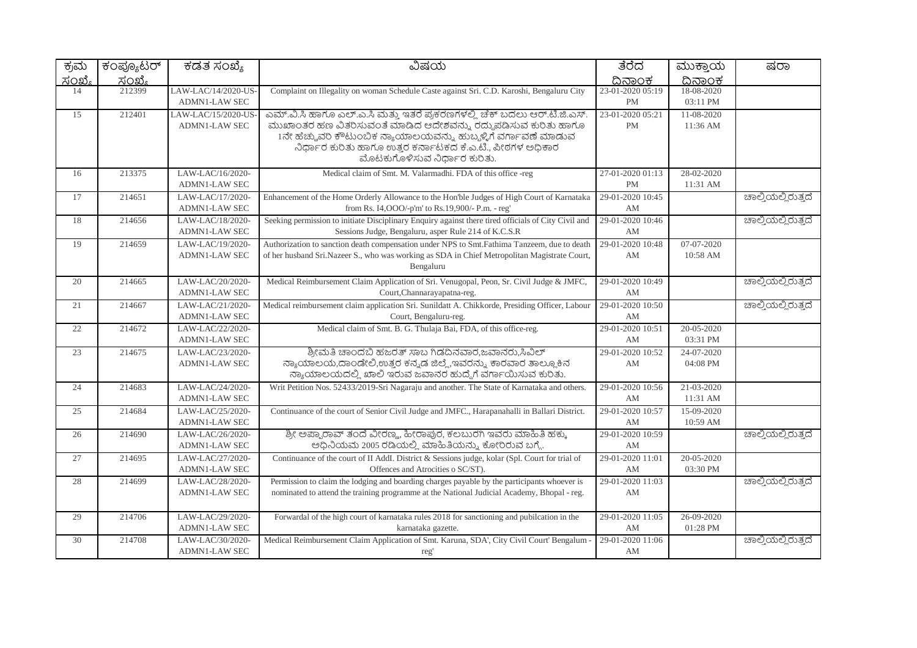| ಕ್ರಮ   | ಕಂಪ್ಯೂಟರ್ | ಕಡತ ಸಂಖ್ಯೆ                                  | ವಿಷಯ                                                                                                                                                                                                                                                                                                       | ತೆರೆದ                         | ಮುಕ್ತಾಯ                | ಷರಾ                |
|--------|-----------|---------------------------------------------|------------------------------------------------------------------------------------------------------------------------------------------------------------------------------------------------------------------------------------------------------------------------------------------------------------|-------------------------------|------------------------|--------------------|
| ಸಂಖ್ಯೆ | ಸಂಖ್ಯೆ    |                                             |                                                                                                                                                                                                                                                                                                            | ದಿನಾಂಕ                        | ದಿನಾಂಕ                 |                    |
| 14     | 212399    | LAW-LAC/14/2020-US-<br><b>ADMN1-LAW SEC</b> | Complaint on Illegality on woman Schedule Caste against Sri. C.D. Karoshi, Bengaluru City                                                                                                                                                                                                                  | 23-01-2020 05:19<br><b>PM</b> | 18-08-2020<br>03:11 PM |                    |
| 15     | 212401    | LAW-LAC/15/2020-US-<br><b>ADMN1-LAW SEC</b> | ಎಮ್.ವಿ.ಸಿ ಹಾಗೂ ಎಲ್.ಎ.ಸಿ ಮತ್ತು ಇತರೆ ಪ್ರಕರಣಗಳಲ್ಲಿ ಚೆಕ್ ಬದಲು ಆರ್.ಟಿ.ಜಿ.ಎಸ್.<br>ಮುಖಾಂತರ ಹಣ ವಿತರಿಸುವಂತೆ ಮಾಡಿದ ಆದೇಶವನ್ನು ರದ್ದುಪಡಿಸುವ ಕುರಿತು ಹಾಗೂ<br>1ನೇ ಹೆಚ್ಚುವರಿ ಕೌಟುಂಬಿಕ ನ್ಯಾಯಾಲಯವನ್ನು ಹುಬ್ಬಳ್ಳಿಗೆ ವರ್ಗಾವಣೆ ಮಾಡುವ<br>ನಿರ್ಧಾರ ಕುರಿತು ಹಾಗೂ ಉತ್ತರ ಕರ್ನಾಟಕದ ಕೆ.ಎ.ಟಿ., ಪೀಠಗಳ ಅಧಿಕಾರ<br>ಮೊಟಕುಗೊಳಿಸುವ ನಿರ್ಧಾರ ಕುರಿತು. | 23-01-2020 05:21<br>PM        | 11-08-2020<br>11:36 AM |                    |
| 16     | 213375    | LAW-LAC/16/2020-<br><b>ADMN1-LAW SEC</b>    | Medical claim of Smt. M. Valarmadhi. FDA of this office -reg                                                                                                                                                                                                                                               | 27-01-2020 01:13<br><b>PM</b> | 28-02-2020<br>11:31 AM |                    |
| 17     | 214651    | LAW-LAC/17/2020-<br><b>ADMN1-LAW SEC</b>    | Enhancement of the Home Orderly Allowance to the Hon'ble Judges of High Court of Karnataka<br>from Rs. I4, OOO/-p'm' to Rs. 19,900/- P.m. - reg'                                                                                                                                                           | 29-01-2020 10:45<br>AM        |                        | ಚಾಲ್ತಿಯಲ್ಲಿರುತ್ತದೆ |
| 18     | 214656    | LAW-LAC/18/2020-<br><b>ADMN1-LAW SEC</b>    | Seeking permission to initiate Disciplinary Enquiry against there tired officials of City Civil and<br>Sessions Judge, Bengaluru, asper Rule 214 of K.C.S.R                                                                                                                                                | 29-01-2020 10:46<br>AM        |                        | ಚಾಲ್ತಿಯಲ್ಲಿರುತ್ತದೆ |
| 19     | 214659    | LAW-LAC/19/2020-<br><b>ADMN1-LAW SEC</b>    | Authorization to sanction death compensation under NPS to Smt.Fathima Tanzeem, due to death<br>of her husband Sri.Nazeer S., who was working as SDA in Chief Metropolitan Magistrate Court,<br>Bengaluru                                                                                                   | 29-01-2020 10:48<br>AM        | 07-07-2020<br>10:58 AM |                    |
| 20     | 214665    | LAW-LAC/20/2020-<br><b>ADMN1-LAW SEC</b>    | Medical Reimbursement Claim Application of Sri. Venugopal, Peon, Sr. Civil Judge & JMFC,<br>Court, Channarayapatna-reg.                                                                                                                                                                                    | 29-01-2020 10:49<br>AM        |                        | ಚಾಲ್ತಿಯಲ್ಲಿರುತ್ತದೆ |
| 21     | 214667    | LAW-LAC/21/2020-<br><b>ADMN1-LAW SEC</b>    | Medical reimbursement claim application Sri. Sunildatt A. Chikkorde, Presiding Officer, Labour<br>Court, Bengaluru-reg.                                                                                                                                                                                    | 29-01-2020 10:50<br>AM        |                        | ಚಾಲ್ತಿಯಲ್ಲಿರುತ್ತದೆ |
| 22     | 214672    | LAW-LAC/22/2020-<br>ADMN1-LAW SEC           | Medical claim of Smt. B. G. Thulaja Bai, FDA, of this office-reg.                                                                                                                                                                                                                                          | 29-01-2020 10:51<br>AM        | 20-05-2020<br>03:31 PM |                    |
| 23     | 214675    | LAW-LAC/23/2020-<br><b>ADMN1-LAW SEC</b>    | ಶ್ರೀಮತಿ ಚಾಂದಬಿ ಹಜರತ್ ಸಾಬ ಗಿಡದಿನವಾರ,ಜವಾನರು,ಸಿವಿಲ್<br>ನ್ಯಾಯಾಲಯ,ದಾಂಡೇಲಿ,ಉತ್ತರ ಕನ್ನಡ ಜಿಲ್ಲೆ,ಇವರನ್ನು ಕಾರವಾರ ತಾಲ್ಲೂಕಿನ<br>ನ್ಯಾಯಾಲಯದಲ್ಲಿ ಖಾಲಿ ಇರುವ ಜವಾನರ ಹುದ್ದೆಗೆ ವರ್ಗಾಯಿಸುವ ಕುರಿತು.                                                                                                                              | 29-01-2020 10:52<br>AM        | 24-07-2020<br>04:08 PM |                    |
| 24     | 214683    | LAW-LAC/24/2020-<br><b>ADMN1-LAW SEC</b>    | Writ Petition Nos. 52433/2019-Sri Nagaraju and another. The State of Karnataka and others.                                                                                                                                                                                                                 | 29-01-2020 10:56<br>AM        | 21-03-2020<br>11:31 AM |                    |
| 25     | 214684    | LAW-LAC/25/2020-<br>ADMN1-LAW SEC           | Continuance of the court of Senior Civil Judge and JMFC., Harapanahalli in Ballari District.                                                                                                                                                                                                               | 29-01-2020 10:57<br>AM        | 15-09-2020<br>10:59 AM |                    |
| 26     | 214690    | LAW-LAC/26/2020-<br><b>ADMN1-LAW SEC</b>    | ಶ್ರೀ ಅಪ್ಪಾರಾವ್ ತಂದೆ ವೀರಣ್ಣ, ಹೀರಾಪುರ, ಕಲಬುರಗಿ ಇವರು ಮಾಹಿತಿ ಹಕ್ಕು<br>ಅಧಿನಿಯಮ 2005 ರಡಿಯಲ್ಲಿ ಮಾಹಿತಿಯನ್ನು ಕೋರಿರುವ ಬಗ್ಗೆ.                                                                                                                                                                                         | 29-01-2020 10:59<br>AM        |                        | ಚಾಲ್ತಿಯಲ್ಲಿರುತ್ತದೆ |
| 27     | 214695    | LAW-LAC/27/2020-<br>ADMN1-LAW SEC           | Continuance of the court of II AddI. District & Sessions judge, kolar (Spl. Court for trial of<br>Offences and Atrocities o SC/ST).                                                                                                                                                                        | 29-01-2020 11:01<br>AM        | 20-05-2020<br>03:30 PM |                    |
| 28     | 214699    | LAW-LAC/28/2020-<br><b>ADMN1-LAW SEC</b>    | Permission to claim the lodging and boarding charges payable by the participants whoever is<br>nominated to attend the training programme at the National Judicial Academy, Bhopal - reg.                                                                                                                  | 29-01-2020 11:03<br>AM        |                        | ಚಾಲ್ತಿಯಲ್ಲಿರುತ್ತದೆ |
| 29     | 214706    | LAW-LAC/29/2020-<br><b>ADMN1-LAW SEC</b>    | Forwardal of the high court of karnataka rules 2018 for sanctioning and pubilcation in the<br>karnataka gazette.                                                                                                                                                                                           | 29-01-2020 11:05<br>AM        | 26-09-2020<br>01:28 PM |                    |
| 30     | 214708    | LAW-LAC/30/2020-<br><b>ADMN1-LAW SEC</b>    | Medical Reimbursement Claim Application of Smt. Karuna, SDA', City Civil Court' Bengalum<br>reg'                                                                                                                                                                                                           | 29-01-2020 11:06<br>AM        |                        | ಚಾಲ್ತಿಯಲ್ಲಿರುತ್ತದೆ |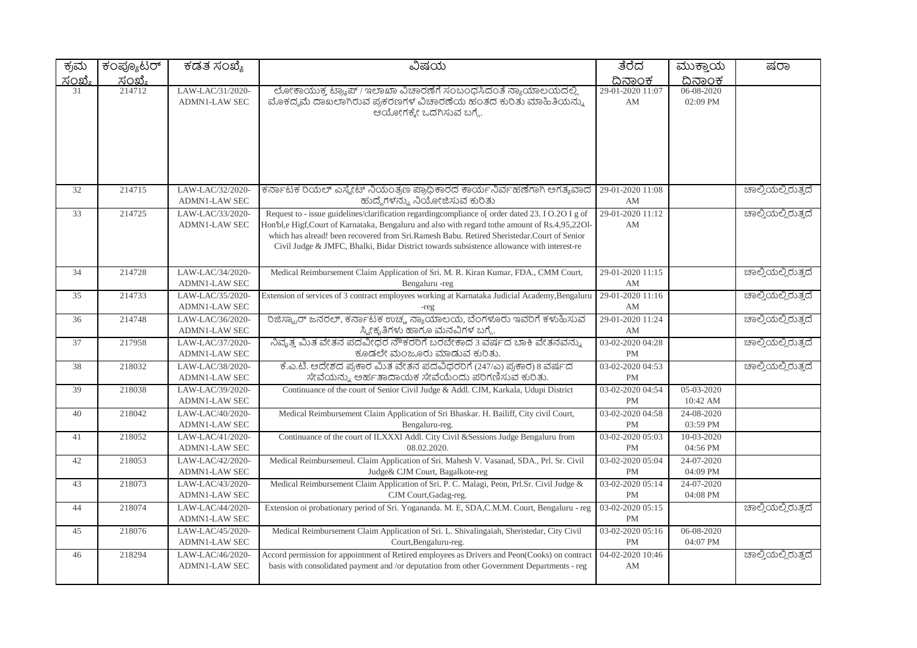| ಕ್ರಮ          | ಕಂಪ್ಯೂಟರ್               | ಕಡತ ಸಂಖ್ಯೆ                               | ವಿಷಯ                                                                                                                                                                                                                                                                                                                                                                                           | ತೆರೆದ                         | ಮುಕ್ತಾಯ                | ಷರಾ                |
|---------------|-------------------------|------------------------------------------|------------------------------------------------------------------------------------------------------------------------------------------------------------------------------------------------------------------------------------------------------------------------------------------------------------------------------------------------------------------------------------------------|-------------------------------|------------------------|--------------------|
| <u>ಸಂಖ್ಯೆ</u> | <u>ಸಂಖ್ಯೆ</u><br>214712 |                                          |                                                                                                                                                                                                                                                                                                                                                                                                | <u>ದಿನಾಂಕ</u>                 | <u>ದಿನಾಂಕ</u>          |                    |
| 31            |                         | LAW-LAC/31/2020-<br><b>ADMN1-LAW SEC</b> | ಲೋಕಾಯುಕ್ತ ಟ್ರ್ಯಾಪ್ / ಇಲಾಖಾ ವಿಚಾರಣೆಗೆ ಸಂಬಂಧಸಿದಂತೆ ನ್ಯಾಯಾಲಯದಲ್ಲಿ<br>ಮೊಕದ್ದಮೆ ದಾಖಲಾಗಿರುವ ಪ್ರಕರಣಗಳ ವಿಚಾರಣೆಯ ಹಂತದ ಕುರಿತು ಮಾಹಿತಿಯನ್ನು<br>ಆಯೋಗಕ್ಕೇ ಒದಗಿಸುವ ಬಗ್ಗೆ.                                                                                                                                                                                                                                     | 29-01-2020 11:07<br>AM        | 06-08-2020<br>02:09 PM |                    |
| 32            | 214715                  | LAW-LAC/32/2020-<br>ADMN1-LAW SEC        | ಕರ್ನಾಟಕ ರಿಯಲ್ ಎಸ್ಟೇಟ್ ನಿಯಂತ್ರಣ ಪ್ರಾಧಿಕಾರದ ಕಾರ್ಯನಿರ್ವಹಣೆಗಾಗಿ ಅಗತ್ಯವಾದ<br>ಹುದ್ದೆಗಳನ್ನು ನಿಯೋಜಿಸುವ ಕುರಿತು                                                                                                                                                                                                                                                                                          | 29-01-2020 11:08<br>AM        |                        | ಚಾಲ್ತಿಯಲ್ಲಿರುತ್ತದೆ |
| 33            | 214725                  | LAW-LAC/33/2020-<br><b>ADMN1-LAW SEC</b> | Request to - issue guidelines/clarification regarding compliance of order dated 23. I O.2O I g of<br>Hon'bl,e Higf,Court of Karnataka, Bengaluru and also with regard tothe amount of Rs.4,95,2201-<br>which has alread! been recovered from Sri.Ramesh Babu. Retired Sheristedar.Court of Senior<br>Civil Judge & JMFC, Bhalki, Bidar District towards subsistence allowance with interest-re | 29-01-2020 11:12<br>AM        |                        | ಚಾಲ್ತಿಯಲ್ಲಿರುತ್ತದೆ |
| 34            | 214728                  | LAW-LAC/34/2020-<br>ADMN1-LAW SEC        | Medical Reimbursement Claim Application of Sri. M. R. Kiran Kumar, FDA., CMM Court,<br>Bengaluru -reg                                                                                                                                                                                                                                                                                          | 29-01-2020 11:15<br>AM        |                        | ಚಾಲ್ತಿಯಲ್ಲಿರುತ್ತದೆ |
| 35            | 214733                  | LAW-LAC/35/2020-<br><b>ADMN1-LAW SEC</b> | Extension of services of 3 contract employees working at Karnataka Judicial Academy, Bengaluru<br>-reg                                                                                                                                                                                                                                                                                         | 29-01-2020 11:16<br>AM        |                        | ಚಾಲ್ತಿಯಲ್ಲಿರುತ್ತದೆ |
| 36            | 214748                  | LAW-LAC/36/2020-<br><b>ADMN1-LAW SEC</b> | ರಿಜಿಸ್ಟ್ರಾರ್ ಜನರಲ್, ಕರ್ನಾಟಕ ಉಚ್ಚ ನ್ಯಾಯಾಲಯ, ಬೆಂಗಳೂರು ಇವರಿಗೆ ಕಳುಹಿಸುವ<br>ಸ್ವೀಕೃತಿಗಳು ಹಾಗೂ ಮನವಿಗಳ ಬಗ್ಗೆ.                                                                                                                                                                                                                                                                                          | 29-01-2020 11:24<br>AM        |                        | ಚಾಲ್ತಿಯಲ್ಲಿರುತ್ತದೆ |
| 37            | 217958                  | LAW-LAC/37/2020-<br><b>ADMN1-LAW SEC</b> | ನಿವೃತ್ತ ಮಿತ ವೇತನ ಪದವೀಧರ ನೌಕರರಿಗೆ ಬರಬೇಕಾದ 3 ವರ್ಷದ ಬಾಕಿ ವೇತನವನ್ನು<br>ಕೂಡಲೇ ಮಂಜೂರು ಮಾಡುವ ಕುರಿತು.                                                                                                                                                                                                                                                                                                  | 03-02-2020 04:28<br><b>PM</b> |                        | ಚಾಲ್ತಿಯಲ್ಲಿರುತ್ತದೆ |
| 38            | 218032                  | LAW-LAC/38/2020-<br><b>ADMN1-LAW SEC</b> | ಕೆ.ಎ.ಟಿ. ಆದೇಶದ ಪ್ರಕಾರ ಮಿತ ವೇತನ ಪದವಿಧರರಿಗೆ (247/ಎ) ಪ್ರಕಾರ) 8 ವರ್ಷದ<br>ಸೇವೆಯನ್ನು ಅರ್ಹತಾದಾಯಕ ಸೇವೆಯೆಂದು ಪರಿಗಣಿಸುವ ಕುರಿತು.                                                                                                                                                                                                                                                                          | 03-02-2020 04:53<br><b>PM</b> |                        | ಚಾಲ್ತಿಯಲ್ಲಿರುತ್ತದೆ |
| 39            | 218038                  | LAW-LAC/39/2020-<br><b>ADMN1-LAW SEC</b> | Continuance of the court of Senior Civil Judge & Addl. CJM, Karkala, Udupi District                                                                                                                                                                                                                                                                                                            | 03-02-2020 04:54<br><b>PM</b> | 05-03-2020<br>10:42 AM |                    |
| 40            | 218042                  | LAW-LAC/40/2020-<br><b>ADMN1-LAW SEC</b> | Medical Reimbursement Claim Application of Sri Bhaskar. H. Bailiff, City civil Court,<br>Bengaluru-reg.                                                                                                                                                                                                                                                                                        | 03-02-2020 04:58<br>PM        | 24-08-2020<br>03:59 PM |                    |
| 41            | 218052                  | LAW-LAC/41/2020-<br><b>ADMN1-LAW SEC</b> | Continuance of the court of ILXXXI Addl. City Civil & Sessions Judge Bengaluru from<br>08.02.2020.                                                                                                                                                                                                                                                                                             | 03-02-2020 05:03<br>PM        | 10-03-2020<br>04:56 PM |                    |
| 42            | 218053                  | LAW-LAC/42/2020-<br><b>ADMN1-LAW SEC</b> | Medical Reimbursemeul. Claim Application of Sri. Mahesh V. Vasanad, SDA., Prl. Sr. Civil<br>Judge& CJM Court, Bagalkote-reg                                                                                                                                                                                                                                                                    | 03-02-2020 05:04<br>PM        | 24-07-2020<br>04:09 PM |                    |
| 43            | 218073                  | LAW-LAC/43/2020-<br><b>ADMN1-LAW SEC</b> | Medical Reimbursement Claim Application of Sri. P. C. Malagi, Peon, Prl.Sr. Civil Judge &<br>CJM Court, Gadag-reg.                                                                                                                                                                                                                                                                             | 03-02-2020 05:14<br><b>PM</b> | 24-07-2020<br>04:08 PM |                    |
| 44            | 218074                  | LAW-LAC/44/2020-<br><b>ADMN1-LAW SEC</b> | Extension oi probationary period of Sri. Yogananda. M. E, SDA,C.M.M. Court, Bengaluru - reg                                                                                                                                                                                                                                                                                                    | 03-02-2020 05:15<br>PM        |                        | ಚಾಲ್ತಿಯಲ್ಲಿರುತ್ತದೆ |
| 45            | 218076                  | LAW-LAC/45/2020-<br>ADMN1-LAW SEC        | Medical Reimbursement Claim Application of Sri. L. Shivalingaiah, Sheristedar, City Civil<br>Court, Bengaluru-reg.                                                                                                                                                                                                                                                                             | 03-02-2020 05:16<br>PM        | 06-08-2020<br>04:07 PM |                    |
| 46            | 218294                  | LAW-LAC/46/2020-<br><b>ADMN1-LAW SEC</b> | Accord permission for appointment of Retired employees as Drivers and Peon(Cooks) on contract<br>basis with consolidated payment and /or deputation from other Government Departments - reg                                                                                                                                                                                                    | 04-02-2020 10:46<br>AM        |                        | ಚಾಲ್ತಿಯಲ್ಲಿರುತ್ತದೆ |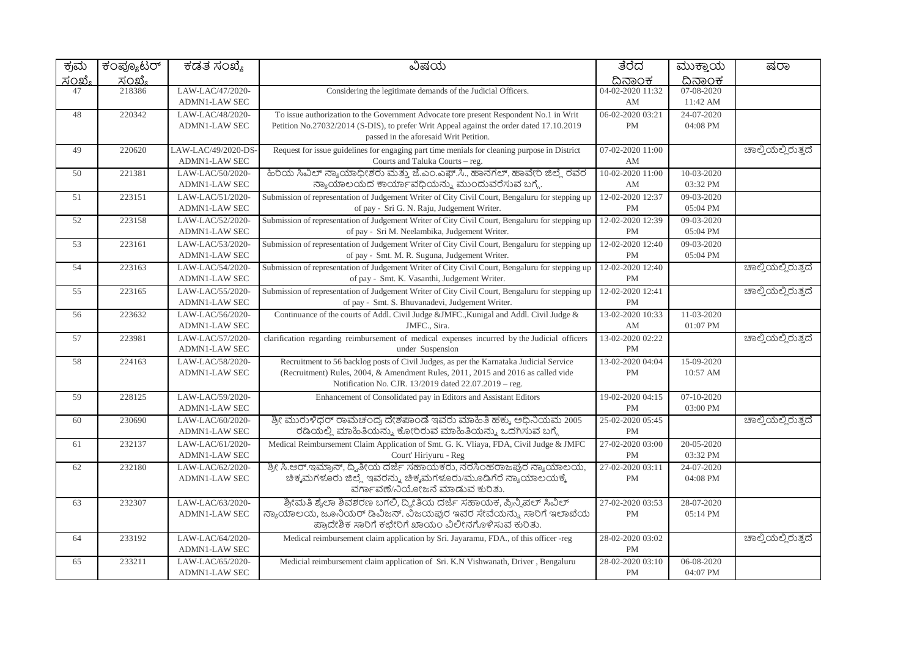| ಕ್ರಮ          | ಕಂಪ್ಯೂಟರ್ | ಕಡತ ಸಂಖ್ಯೆ                                  | ವಿಷಯ                                                                                                                                                                                                                                | ತೆರೆದ                         | ಮುಕ್ತಾಯ                | ಷರಾ                |
|---------------|-----------|---------------------------------------------|-------------------------------------------------------------------------------------------------------------------------------------------------------------------------------------------------------------------------------------|-------------------------------|------------------------|--------------------|
| <u>ಸಂಖ್ಯೆ</u> | ಸಂಖ್ಯೆ    |                                             |                                                                                                                                                                                                                                     | ದಿನಾಂಕ                        | ದಿನಾಂಕ                 |                    |
| 47            | 218386    | LAW-LAC/47/2020-<br><b>ADMN1-LAW SEC</b>    | Considering the legitimate demands of the Judicial Officers.                                                                                                                                                                        | 04-02-2020 11:32<br>AM        | 07-08-2020<br>11:42 AM |                    |
| 48            | 220342    | LAW-LAC/48/2020-<br><b>ADMN1-LAW SEC</b>    | To issue authorization to the Government Advocate tore present Respondent No.1 in Writ<br>Petition No.27032/2014 (S-DIS), to prefer Writ Appeal against the order dated 17.10.2019<br>passed in the aforesaid Writ Petition.        | 06-02-2020 03:21<br><b>PM</b> | 24-07-2020<br>04:08 PM |                    |
| 49            | 220620    | LAW-LAC/49/2020-DS-<br><b>ADMN1-LAW SEC</b> | Request for issue guidelines for engaging part time menials for cleaning purpose in District<br>Courts and Taluka Courts - reg.                                                                                                     | 07-02-2020 11:00<br>AM        |                        | ಚಾಲ್ತಿಯಲ್ಲಿರುತ್ತದೆ |
| 50            | 221381    | LAW-LAC/50/2020-<br><b>ADMN1-LAW SEC</b>    | ಹಿರಿಯ ಸಿವಿಲ್ ನ್ಯಾಯಾಧೀಶರು ಮತ್ತು ಜೆ.ಎಂ.ಎಫ್.ಸಿ., ಹಾನಗಲ್, ಹಾವೇರಿ ಜಿಲ್ಲೆ ರವರ<br>ನ್ಯಾಯಾಲಯದ ಕಾರ್ಯಾವಧಿಯನ್ನು ಮುಂದುವರೆಸುವ ಬಗ್ಗೆ.                                                                                                              | 10-02-2020 11:00<br>AM        | 10-03-2020<br>03:32 PM |                    |
| 51            | 223151    | LAW-LAC/51/2020-<br>ADMN1-LAW SEC           | Submission of representation of Judgement Writer of City Civil Court, Bengaluru for stepping up<br>of pay - Sri G. N. Raju, Judgement Writer.                                                                                       | 12-02-2020 12:37<br>PM        | 09-03-2020<br>05:04 PM |                    |
| 52            | 223158    | LAW-LAC/52/2020-<br><b>ADMN1-LAW SEC</b>    | Submission of representation of Judgement Writer of City Civil Court, Bengaluru for stepping up<br>of pay - Sri M. Neelambika, Judgement Writer.                                                                                    | 12-02-2020 12:39<br><b>PM</b> | 09-03-2020<br>05:04 PM |                    |
| 53            | 223161    | LAW-LAC/53/2020-<br><b>ADMN1-LAW SEC</b>    | Submission of representation of Judgement Writer of City Civil Court, Bengaluru for stepping up<br>of pay - Smt. M. R. Suguna, Judgement Writer.                                                                                    | 12-02-2020 12:40<br><b>PM</b> | 09-03-2020<br>05:04 PM |                    |
| 54            | 223163    | LAW-LAC/54/2020-<br>ADMN1-LAW SEC           | Submission of representation of Judgement Writer of City Civil Court, Bengaluru for stepping up<br>of pay - Smt. K. Vasanthi, Judgement Writer.                                                                                     | 12-02-2020 12:40<br><b>PM</b> |                        | ಚಾಲ್ತಿಯಲ್ಲಿರುತ್ತದೆ |
| 55            | 223165    | LAW-LAC/55/2020-<br><b>ADMN1-LAW SEC</b>    | Submission of representation of Judgement Writer of City Civil Court, Bengaluru for stepping up<br>of pay - Smt. S. Bhuvanadevi, Judgement Writer.                                                                                  | 12-02-2020 12:41<br><b>PM</b> |                        | ಚಾಲ್ಲಿಯಲ್ಲಿರುತ್ತದೆ |
| 56            | 223632    | LAW-LAC/56/2020-<br><b>ADMN1-LAW SEC</b>    | Continuance of the courts of Addl. Civil Judge &JMFC., Kunigal and Addl. Civil Judge &<br>JMFC., Sira.                                                                                                                              | 13-02-2020 10:33<br>AM        | 11-03-2020<br>01:07 PM |                    |
| 57            | 223981    | LAW-LAC/57/2020-<br><b>ADMN1-LAW SEC</b>    | clarification regarding reimbursement of medical expenses incurred by the Judicial officers<br>under Suspension                                                                                                                     | 13-02-2020 02:22<br><b>PM</b> |                        | ಚಾಲ್ತಿಯಲ್ಲಿರುತ್ತದೆ |
| 58            | 224163    | LAW-LAC/58/2020-<br><b>ADMN1-LAW SEC</b>    | Recruitment to 56 backlog posts of Civil Judges, as per the Karnataka Judicial Service<br>(Recruitment) Rules, 2004, & Amendment Rules, 2011, 2015 and 2016 as called vide<br>Notification No. CJR. 13/2019 dated 22.07.2019 - reg. | 13-02-2020 04:04<br><b>PM</b> | 15-09-2020<br>10:57 AM |                    |
| 59            | 228125    | LAW-LAC/59/2020-<br><b>ADMN1-LAW SEC</b>    | Enhancement of Consolidated pay in Editors and Assistant Editors                                                                                                                                                                    | 19-02-2020 04:15<br>$\rm PM$  | 07-10-2020<br>03:00 PM |                    |
| 60            | 230690    | LAW-LAC/60/2020-<br><b>ADMN1-LAW SEC</b>    | ಶ್ರೀ ಮುರುಳಿಧರ್ ರಾಮಚಂದ್ರ ದೇಶಪಾಂಡೆ ಇವರು ಮಾಹಿತಿ ಹಕ್ಕು. ಅಧಿನಿಯಮ 2005<br>ರಡಿಯಲ್ಲಿ ಮಾಹಿತಿಯನ್ನು ಕೋರಿರುವ ಮಾಹಿತಿಯನ್ನು ಒದಗಿಸುವ ಬಗ್ಗೆ                                                                                                          | 25-02-2020 05:45<br>PM        |                        | ಚಾಲ್ತಿಯಲ್ಲಿರುತ್ತದೆ |
| 61            | 232137    | LAW-LAC/61/2020-<br><b>ADMN1-LAW SEC</b>    | Medical Reimbursement Claim Application of Smt. G. K. Vliaya, FDA, Civil Judge & JMFC<br>Court' Hiriyuru - Reg                                                                                                                      | 27-02-2020 03:00<br><b>PM</b> | 20-05-2020<br>03:32 PM |                    |
| 62            | 232180    | LAW-LAC/62/2020-<br><b>ADMN1-LAW SEC</b>    | ಶ್ರೀ ಸಿ.ಆರ್.ಇಮ್ರಾನ್, ದ್ವಿತೀಯ ದರ್ಜೆ ಸಹಾಯಕರು, ನರಸಿಂಹರಾಜಪುರ ನ್ಯಾಯಾಲಯ,<br>ಚಿಕ್ಕಮಗಳೂರು ಜಿಲ್ಲೆ ಇವರನ್ನು ಚಿಕ್ಕಮಗಳೂರು/ಮೂಡಿಗೆರೆ ನ್ಯಾಯಾಲಯಕ್ಕೆ<br>ವರ್ಗಾವಣೆ/ನಿಯೋಜನೆ ಮಾಡುವ ಕುರಿತು.                                                                | 27-02-2020 03:11<br><b>PM</b> | 24-07-2020<br>04:08 PM |                    |
| 63            | 232307    | LAW-LAC/63/2020-<br><b>ADMN1-LAW SEC</b>    | ಶ್ರೀಮತಿ ಶೈಲಾ ಶಿವಶರಣ ಬಗಲಿ, ದ್ಯೀತಿಯ ದರ್ಜೆ ಸಹಾಯಕ, ಪ್ರಿನ್ನಿಪಲ್ ಸಿವಿಲ್<br>ನ್ಯಾಯಾಲಯ, ಜೂನಿಯರ್ ಡಿವಿಜನ್. ವಿಜಯಪುರ ಇವರ ಸೇವೆಯನ್ನು, ಸಾರಿಗೆ ಇಲಾಖೆಯ<br>ಪ್ರಾದೇಶಿಕ ಸಾರಿಗೆ ಕಛೇರಿಗೆ ಖಾಯಂ ವಿಲೀನಗೊಳಿಸುವ ಕುರಿತು.                                          | 27-02-2020 03:53<br><b>PM</b> | 28-07-2020<br>05:14 PM |                    |
| 64            | 233192    | LAW-LAC/64/2020-<br><b>ADMN1-LAW SEC</b>    | Medical reimbursement claim application by Sri. Jayaramu, FDA., of this officer -reg                                                                                                                                                | 28-02-2020 03:02<br>PM        |                        | ಚಾಲ್ತಿಯಲ್ಲಿರುತ್ತದೆ |
| 65            | 233211    | LAW-LAC/65/2020-<br><b>ADMN1-LAW SEC</b>    | Medicial reimbursement claim application of Sri. K.N Vishwanath, Driver, Bengaluru                                                                                                                                                  | 28-02-2020 03:10<br><b>PM</b> | 06-08-2020<br>04:07 PM |                    |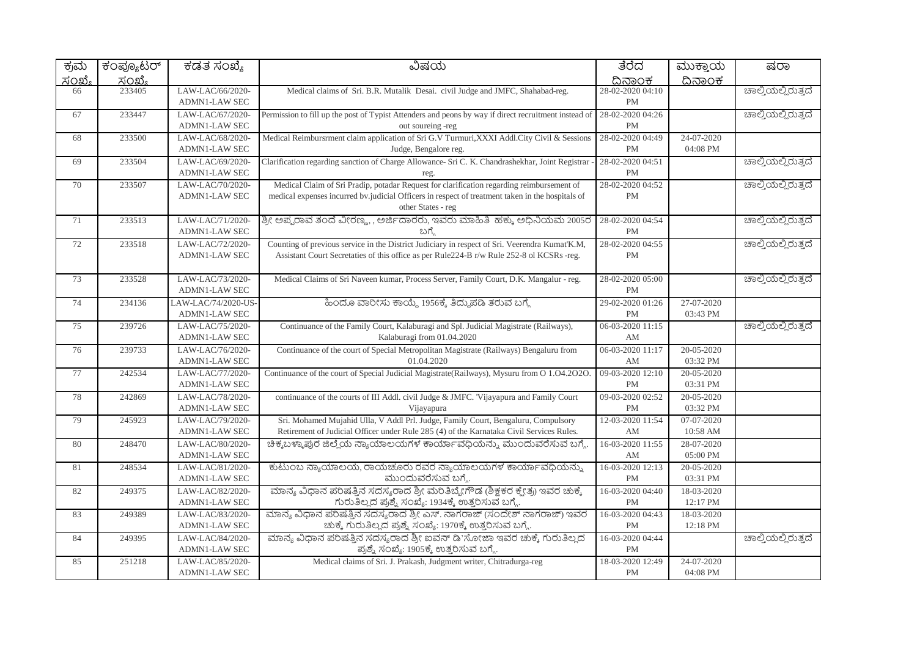| ಕ್ರಮ   | ಕಂಪ್ಯೂಟರ್     | ಕಡತ ಸಂಖ್ಯೆ                                  | ವಿಷಯ                                                                                                                                                                                                                | ತೆರೆದ                         | ಮುಕ್ತಾಯ                | ಷರಾ                |
|--------|---------------|---------------------------------------------|---------------------------------------------------------------------------------------------------------------------------------------------------------------------------------------------------------------------|-------------------------------|------------------------|--------------------|
| ಸಂಖ್ಯೆ | <u>ಸಂಖ್ಯೆ</u> |                                             |                                                                                                                                                                                                                     | ದಿನಾಂಕ                        | ದಿನಾಂಕ                 |                    |
| 66     | 233405        | LAW-LAC/66/2020-<br><b>ADMN1-LAW SEC</b>    | Medical claims of Sri. B.R. Mutalik Desai. civil Judge and JMFC, Shahabad-reg.                                                                                                                                      | 28-02-2020 04:10<br><b>PM</b> |                        | ಚಾಲ್ತಿಯಲ್ಲಿರುತ್ತದೆ |
| 67     | 233447        | LAW-LAC/67/2020-<br><b>ADMN1-LAW SEC</b>    | Permission to fill up the post of Typist Attenders and peons by way if direct recruitment instead of<br>out sourcing -reg                                                                                           | 28-02-2020 04:26<br><b>PM</b> |                        | ಚಾಲ್ತಿಯಲ್ಲಿರುತ್ತದೆ |
| 68     | 233500        | LAW-LAC/68/2020-<br><b>ADMN1-LAW SEC</b>    | Medical Reimbursrment claim application of Sri G.V Turmuri, XXXI Addl.City Civil & Sessions<br>Judge, Bengalore reg.                                                                                                | 28-02-2020 04:49<br><b>PM</b> | 24-07-2020<br>04:08 PM |                    |
| 69     | 233504        | LAW-LAC/69/2020-<br><b>ADMN1-LAW SEC</b>    | Clarification regarding sanction of Charge Allowance- Sri C. K. Chandrashekhar, Joint Registrar                                                                                                                     | 28-02-2020 04:51<br><b>PM</b> |                        | ಚಾಲ್ತಿಯಲ್ಲಿರುತ್ತದೆ |
| 70     | 233507        | LAW-LAC/70/2020-<br>ADMN1-LAW SEC           | Medical Claim of Sri Pradip, potadar Request for clarification regarding reimbursement of<br>medical expenses incurred by judicial Officers in respect of treatment taken in the hospitals of<br>other States - reg | 28-02-2020 04:52<br><b>PM</b> |                        | ಚಾಲ್ತಿಯಲ್ಲಿರುತ್ತದೆ |
| 71     | 233513        | LAW-LAC/71/2020-<br><b>ADMN1-LAW SEC</b>    | ಶ್ರೀ ಅಪ್ಪರಾವ ತಂದೆ ವೀರಣ್ಣ,, ಅರ್ಜಿದಾರರು, ಇವರು ಮಾಹಿತಿ  ಹಕ್ಕು ಅಧಿನಿಯಮ 2005ರ<br>ಬಗ್ಗೆ                                                                                                                                    | 28-02-2020 04:54<br><b>PM</b> |                        | ಚಾಲ್ತಿಯಲ್ಲಿರುತ್ತದೆ |
| 72     | 233518        | LAW-LAC/72/2020-<br>ADMN1-LAW SEC           | Counting of previous service in the District Judiciary in respect of Sri. Veerendra Kumat'K.M,<br>Assistant Court Secretaties of this office as per Rule224-B r/w Rule 252-8 ol KCSRs -reg.                         | 28-02-2020 04:55<br><b>PM</b> |                        | ಚಾಲ್ತಿಯಲ್ಲಿರುತ್ತದೆ |
| 73     | 233528        | LAW-LAC/73/2020-<br><b>ADMN1-LAW SEC</b>    | Medical Claims of Sri Naveen kumar, Process Server, Family Court, D.K. Mangalur - reg.                                                                                                                              | 28-02-2020 05:00<br><b>PM</b> |                        | ಚಾಲ್ತಿಯಲ್ಲಿರುತ್ತದೆ |
| 74     | 234136        | LAW-LAC/74/2020-US-<br><b>ADMN1-LAW SEC</b> | ಹಿಂದೂ ವಾರೀಸು ಕಾಯ್ದೆ 1956ಕ್ಕೆ ತಿದ್ದುಪಡಿ ತರುವ ಬಗ್ಗೆ                                                                                                                                                                   | 29-02-2020 01:26<br><b>PM</b> | 27-07-2020<br>03:43 PM |                    |
| 75     | 239726        | LAW-LAC/75/2020-<br><b>ADMN1-LAW SEC</b>    | Continuance of the Family Court, Kalaburagi and Spl. Judicial Magistrate (Railways),<br>Kalaburagi from 01.04.2020                                                                                                  | 06-03-2020 11:15<br>AM        |                        | ಚಾಲ್ತಿಯಲ್ಲಿರುತ್ತದೆ |
| 76     | 239733        | LAW-LAC/76/2020-<br><b>ADMN1-LAW SEC</b>    | Continuance of the court of Special Metropolitan Magistrate (Railways) Bengaluru from<br>01.04.2020                                                                                                                 | 06-03-2020 11:17<br>AM        | 20-05-2020<br>03:32 PM |                    |
| 77     | 242534        | LAW-LAC/77/2020-<br><b>ADMN1-LAW SEC</b>    | Continuance of the court of Special Judicial Magistrate(Railways), Mysuru from O 1.04.2020                                                                                                                          | 09-03-2020 12:10<br><b>PM</b> | 20-05-2020<br>03:31 PM |                    |
| 78     | 242869        | LAW-LAC/78/2020-<br><b>ADMN1-LAW SEC</b>    | continuance of the courts of III Addl. civil Judge & JMFC. 'Vijayapura and Family Court<br>Vijayapura                                                                                                               | 09-03-2020 02:52<br><b>PM</b> | 20-05-2020<br>03:32 PM |                    |
| 79     | 245923        | LAW-LAC/79/2020-<br>ADMN1-LAW SEC           | Sri. Mohamed Mujahid Ulla, V Addl Prl. Judge, Family Court, Bengaluru, Compulsory<br>Retirement of Judicial Officer under Rule 285 (4) of the Karnataka Civil Services Rules.                                       | 12-03-2020 11:54<br>AM        | 07-07-2020<br>10:58 AM |                    |
| 80     | 248470        | LAW-LAC/80/2020-<br><b>ADMN1-LAW SEC</b>    | ಚಿಕ್ಕಬಳ್ಳಾಪುರ ಜಿಲ್ಲೆಯ ನ್ಯಾಯಾಲಯಗಳ ಕಾರ್ಯಾವಧಿಯನ್ನು ಮುಂದುವರೆಸುವ ಬಗ್ಗೆ.                                                                                                                                                  | 16-03-2020 11:55<br>AM        | 28-07-2020<br>05:00 PM |                    |
| 81     | 248534        | LAW-LAC/81/2020-<br><b>ADMN1-LAW SEC</b>    | ಕುಟುಂಬ ನ್ಯಾಯಾಲಯ, ರಾಯಚೂರು ರವರ ನ್ಯಾಯಾಲಯಗಳ ಕಾರ್ಯಾವಧಿಯನ್ನು<br>ಮುಂದುವರೆಸುವ ಬಗ್ಗೆ.                                                                                                                                        | 16-03-2020 12:13<br><b>PM</b> | 20-05-2020<br>03:31 PM |                    |
| 82     | 249375        | LAW-LAC/82/2020-<br><b>ADMN1-LAW SEC</b>    | ಮಾನ್ಯ ವಿಧಾನ ಪರಿಷತ್ತಿನ ಸದಸ್ಯರಾದ ಶ್ರೀ ಮರಿತಿಬ್ಯೇಗೌಡ (ಶಿಕ್ಷಕರ ಕ್ಷೇತ್ರ) ಇವರ ಚುಕ್ಕೆ<br>ಗುರುತಿಲ್ಲದ ಪ್ರಶ್ನೆ ಸಂಖ್ಯೆ: 1934ಕ್ಕೆ ಉತ್ತರಿಸುವ ಬಗ್ಗೆ.                                                                               | 16-03-2020 04:40<br><b>PM</b> | 18-03-2020<br>12:17 PM |                    |
| 83     | 249389        | LAW-LAC/83/2020-<br><b>ADMN1-LAW SEC</b>    | ಮಾನ್ಯ ವಿಧಾನ ಪರಿಷತ್ತಿನ ಸದಸ್ಯರಾದ ಶ್ರೀ ಎಸ್. ನಾಗರಾಜ್ (ಸಂದೇಶ್ ನಾಗರಾಜ್) ಇವರ<br>ಚುಕ್ಕೆ ಗುರುತಿಲ್ಲದ ಪ್ರಶ್ನೆ ಸಂಖ್ಯೆ: 1970ಕ್ಕೆ ಉತ್ತರಿಸುವ ಬಗ್ಗೆ.                                                                                | 16-03-2020 04:43<br><b>PM</b> | 18-03-2020<br>12:18 PM |                    |
| 84     | 249395        | LAW-LAC/84/2020-<br>ADMN1-LAW SEC           | ಮಾನ್ಯ ವಿಧಾನ ಪರಿಷತ್ತಿನ ಸದಸ್ಯರಾದ ಶ್ರೀ ಐವನ್ ಡಿ'ಸೋಜಾ ಇವರ ಚುಕ್ಕೆ ಗುರುತಿಲ್ಲದ<br>ಪ್ರಶ್ನೆ ಸಂಖ್ಯೆ: 1905ಕ್ಕೆ ಉತ್ತರಿಸುವ ಬಗ್ಗೆ.                                                                                                 | 16-03-2020 04:44<br><b>PM</b> |                        | ಚಾಲ್ತಿಯಲ್ಲಿರುತ್ತದೆ |
| 85     | 251218        | LAW-LAC/85/2020-<br><b>ADMN1-LAW SEC</b>    | Medical claims of Sri. J. Prakash, Judgment writer, Chitradurga-reg                                                                                                                                                 | 18-03-2020 12:49<br><b>PM</b> | 24-07-2020<br>04:08 PM |                    |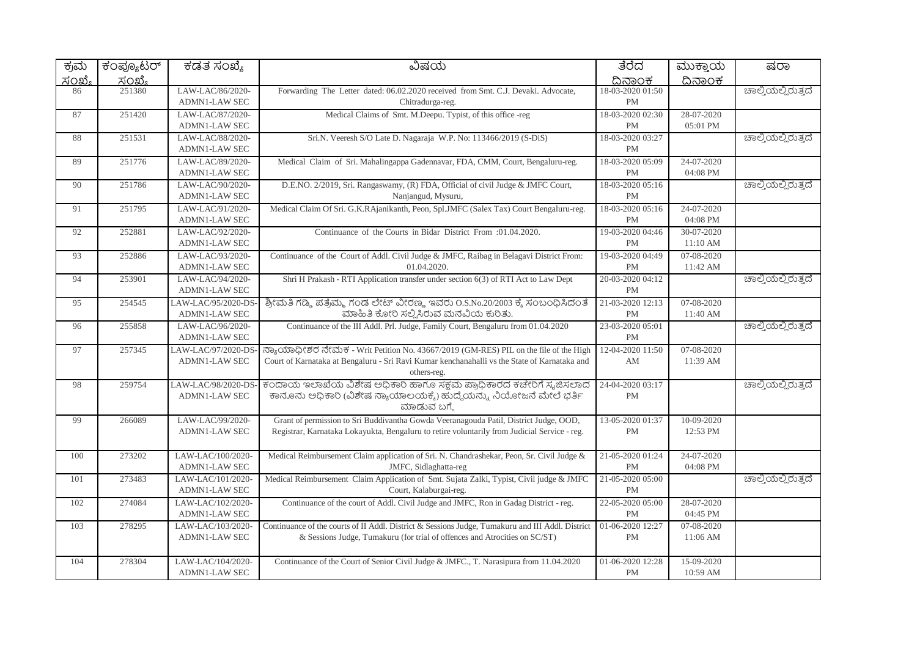| ಕ್ರಮ   | ಕಂಪ್ಯೂಟರ್     | ಕಡತ ಸಂಖ್ಯೆ                                  | ವಿಷಯ                                                                                                                                                                                               | ತೆರೆದ                             | ಮುಕ್ತಾಯ                | ಷರಾ                |
|--------|---------------|---------------------------------------------|----------------------------------------------------------------------------------------------------------------------------------------------------------------------------------------------------|-----------------------------------|------------------------|--------------------|
| ಸಂಖ್ಯೆ | <u>ಸಂಖ್ಯೆ</u> |                                             |                                                                                                                                                                                                    | ದಿನಾಂಕ                            | ದಿನಾಂಕ                 |                    |
| 86     | 251380        | LAW-LAC/86/2020-<br><b>ADMN1-LAW SEC</b>    | Forwarding The Letter dated: 06.02.2020 received from Smt. C.J. Devaki. Advocate,<br>Chitradurga-reg.                                                                                              | 18-03-2020 01:50<br>$\mathbf{PM}$ |                        | ಚಾಲ್ತಿಯಲ್ಲಿರುತ್ತದೆ |
| 87     | 251420        | LAW-LAC/87/2020-<br><b>ADMN1-LAW SEC</b>    | Medical Claims of Smt. M.Deepu. Typist, of this office -reg                                                                                                                                        | 18-03-2020 02:30<br>PM            | 28-07-2020<br>05:01 PM |                    |
| 88     | 251531        | LAW-LAC/88/2020-<br><b>ADMN1-LAW SEC</b>    | Sri.N. Veeresh S/O Late D. Nagaraja W.P. No: 113466/2019 (S-DiS)                                                                                                                                   | 18-03-2020 03:27<br><b>PM</b>     |                        | ಚಾಲ್ತಿಯಲ್ಲಿರುತ್ತದೆ |
| 89     | 251776        | LAW-LAC/89/2020-<br>ADMN1-LAW SEC           | Medical Claim of Sri. Mahalingappa Gadennavar, FDA, CMM, Court, Bengaluru-reg.                                                                                                                     | 18-03-2020 05:09<br><b>PM</b>     | 24-07-2020<br>04:08 PM |                    |
| 90     | 251786        | LAW-LAC/90/2020-<br><b>ADMN1-LAW SEC</b>    | D.E.NO. 2/2019, Sri. Rangaswamy, (R) FDA, Official of civil Judge & JMFC Court,<br>Nanjangud, Mysuru,                                                                                              | 18-03-2020 05:16<br>PM            |                        | ಚಾಲ್ತಿಯಲ್ಲಿರುತ್ತದೆ |
| 91     | 251795        | LAW-LAC/91/2020-<br><b>ADMN1-LAW SEC</b>    | Medical Claim Of Sri. G.K.RAjanikanth, Peon, Spl.JMFC (Salex Tax) Court Bengaluru-reg.                                                                                                             | 18-03-2020 05:16<br><b>PM</b>     | 24-07-2020<br>04:08 PM |                    |
| 92     | 252881        | LAW-LAC/92/2020-<br><b>ADMN1-LAW SEC</b>    | Continuance of the Courts in Bidar District From :01.04.2020.                                                                                                                                      | 19-03-2020 04:46<br><b>PM</b>     | 30-07-2020<br>11:10 AM |                    |
| 93     | 252886        | LAW-LAC/93/2020-<br>ADMN1-LAW SEC           | Continuance of the Court of Addl. Civil Judge & JMFC, Raibag in Belagavi District From:<br>01.04.2020.                                                                                             | 19-03-2020 04:49<br><b>PM</b>     | 07-08-2020<br>11:42 AM |                    |
| 94     | 253901        | LAW-LAC/94/2020-<br><b>ADMN1-LAW SEC</b>    | Shri H Prakash - RTI Application transfer under section 6(3) of RTI Act to Law Dept                                                                                                                | 20-03-2020 04:12<br><b>PM</b>     |                        | ಚಾಲ್ತಿಯಲ್ಲಿರುತ್ತದೆ |
| 95     | 254545        | LAW-LAC/95/2020-DS-<br><b>ADMN1-LAW SEC</b> | ಶ್ರೀಮತಿ ಗಡ್ಡಿ ಪತ್ರೆಮ್ಮ ಗಂಡ ಲೇಟ್ ವೀರಣ್ಣ ಇವರು O.S.No.20/2003 ಕ್ಕೆ ಸಂಬಂಧಿಸಿದಂತೆ<br>ಮಾಹಿತಿ ಕೋರಿ ಸಲ್ಲಿಸಿರುವ ಮನವಿಯ ಕುರಿತು.                                                                               | 21-03-2020 12:13<br><b>PM</b>     | 07-08-2020<br>11:40 AM |                    |
| 96     | 255858        | LAW-LAC/96/2020-<br><b>ADMN1-LAW SEC</b>    | Continuance of the III Addl. Prl. Judge, Family Court, Bengaluru from 01.04.2020                                                                                                                   | 23-03-2020 05:01<br><b>PM</b>     |                        | ಚಾಲ್ತಿಯಲ್ಲಿರುತ್ತದೆ |
| 97     | 257345        | LAW-LAC/97/2020-DS-<br><b>ADMN1-LAW SEC</b> | ನ್ಯಾಯಾಧೀಶರ ನೇಮಕ - Writ Petition No. 43667/2019 (GM-RES) PIL on the file of the High<br>Court of Karnataka at Bengaluru - Sri Ravi Kumar kenchanahalli vs the State of Karnataka and<br>others-reg. | 12-04-2020 11:50<br>AM            | 07-08-2020<br>11:39 AM |                    |
| 98     | 259754        | LAW-LAC/98/2020-DS-<br><b>ADMN1-LAW SEC</b> | ಕಂದಾಯ ಇಲಾಖೆಯ ವಿಶೇಷ ಅಧಿಕಾರಿ ಹಾಗೂ ಸಕ್ಷಮ ಪ್ರಾಧಿಕಾರದ ಕಚೇರಿಗೆ ಸೃಜಿಸಲಾದ<br>ಕಾನೂನು ಅಧಿಕಾರಿ (ವಿಶೇಷ ನ್ಯಾಯಾಲಯಕ್ಕೆ) ಹುದ್ದೆಯನ್ನು ನಿಯೋಜನೆ ಮೇಲೆ ಭರ್ತಿ<br>ಮಾಡುವ ಬಗ್ಗೆ                                             | 24-04-2020 03:17<br><b>PM</b>     |                        | ಚಾಲ್ತಿಯಲ್ಲಿರುತ್ತದೆ |
| 99     | 266089        | LAW-LAC/99/2020-<br>ADMN1-LAW SEC           | Grant of permission to Sri Buddivantha Gowda Veeranagouda Patil, District Judge, OOD,<br>Registrar, Karnataka Lokayukta, Bengaluru to retire voluntarily from Judicial Service - reg.              | 13-05-2020 01:37<br><b>PM</b>     | 10-09-2020<br>12:53 PM |                    |
| 100    | 273202        | LAW-LAC/100/2020-<br><b>ADMN1-LAW SEC</b>   | Medical Reimbursement Claim application of Sri. N. Chandrashekar, Peon, Sr. Civil Judge &<br>JMFC, Sidlaghatta-reg                                                                                 | 21-05-2020 01:24<br><b>PM</b>     | 24-07-2020<br>04:08 PM |                    |
| 101    | 273483        | LAW-LAC/101/2020-<br><b>ADMN1-LAW SEC</b>   | Medical Reimbursement Claim Application of Smt. Sujata Zalki, Typist, Civil judge & JMFC<br>Court, Kalaburgai-reg.                                                                                 | 21-05-2020 05:00<br><b>PM</b>     |                        | ಚಾಲ್ತಿಯಲ್ಲಿರುತ್ತದೆ |
| 102    | 274084        | LAW-LAC/102/2020-<br><b>ADMN1-LAW SEC</b>   | Continuance of the court of Addl. Civil Judge and JMFC, Ron in Gadag District - reg.                                                                                                               | 22-05-2020 05:00<br><b>PM</b>     | 28-07-2020<br>04:45 PM |                    |
| 103    | 278295        | LAW-LAC/103/2020-<br><b>ADMN1-LAW SEC</b>   | Continuance of the courts of II Addl. District & Sessions Judge, Tumakuru and III Addl. District<br>& Sessions Judge, Tumakuru (for trial of offences and Atrocities on SC/ST)                     | 01-06-2020 12:27<br><b>PM</b>     | 07-08-2020<br>11:06 AM |                    |
| 104    | 278304        | LAW-LAC/104/2020-<br><b>ADMN1-LAW SEC</b>   | Continuance of the Court of Senior Civil Judge & JMFC., T. Narasipura from 11.04.2020                                                                                                              | 01-06-2020 12:28<br>PM            | 15-09-2020<br>10:59 AM |                    |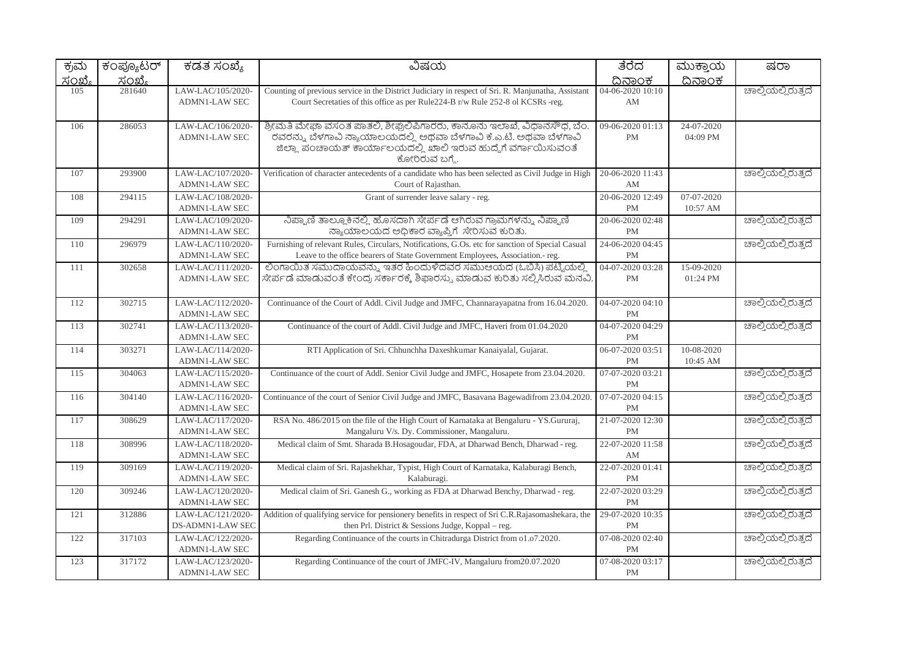| ಕ್ರಮ   | ಕಂಪ್ಯೂಟರ್     | ಕಡತ ಸಂಖ್ಯೆ                                | ವಿಷಯ                                                                                                                                                                                                                              | ತೆರೆದ                         | ಮುಕ್ತಾಯ                | ಷರಾ                |
|--------|---------------|-------------------------------------------|-----------------------------------------------------------------------------------------------------------------------------------------------------------------------------------------------------------------------------------|-------------------------------|------------------------|--------------------|
| ಸಂಖ್ಯೆ | <u>ಸಂಖ್ಯೆ</u> |                                           |                                                                                                                                                                                                                                   | ದಿನಾಂಕ                        | ದಿನಾಂಕ                 |                    |
| 105    | 281640        | LAW-LAC/105/2020-<br><b>ADMN1-LAW SEC</b> | Counting of previous service in the District Judiciary in respect of Sri. R. Manjunatha, Assistant<br>Court Secretaties of this office as per Rule224-B r/w Rule 252-8 of KCSRs -reg.                                             | 04-06-2020 10:10<br>AM        |                        | ಚಾಲ್ತಿಯಲ್ಲಿರುತ್ತದೆ |
| 106    | 286053        | LAW-LAC/106/2020-<br><b>ADMN1-LAW SEC</b> | ಶ್ರೀಮತಿ ಮೇಘಾ ವಸಂತ ಪಾತಲಿ, ಶೀಘ್ರಲಿಪಿಗಾರರು, ಕಾನೂನು ಇಲಾಖೆ, ವಿಧಾನಸೌಧ, ಬೆಂ.<br>.<br>ರವರನ್ನು ಬೆಳಗಾವಿ ನ್ಯಾಯಾಲಯದಲ್ಲಿ ಅಥವಾ ಬೆಳಗಾವಿ ಕೆ.ಎ.ಟಿ. ಅಥವಾ ಬೆಳಗಾವಿ<br>ಜಿಲ್ಲಾ ಪಂಚಾಯತ್ ಕಾರ್ಯಾಲಯದಲ್ಲಿ ಖಾಲಿ ಇರುವ ಹುದ್ದೆಗೆ ವರ್ಗಾಯಿಸುವಂತೆ<br>ಕೋರಿರುವ ಬಗ್ಮೆ. | 09-06-2020 01:13<br>PM        | 24-07-2020<br>04:09 PM |                    |
| 107    | 293900        | LAW-LAC/107/2020-<br><b>ADMN1-LAW SEC</b> | Verification of character antecedents of a candidate who has been selected as Civil Judge in High<br>Court of Rajasthan.                                                                                                          | 20-06-2020 11:43<br>AM        |                        | ಚಾಲ್ಲಿಯಲ್ಲಿರುತ್ತದೆ |
| 108    | 294115        | LAW-LAC/108/2020-<br><b>ADMN1-LAW SEC</b> | Grant of surrender leave salary - reg.                                                                                                                                                                                            | 20-06-2020 12:49<br><b>PM</b> | 07-07-2020<br>10:57 AM |                    |
| 109    | 294291        | LAW-LAC/109/2020-<br><b>ADMN1-LAW SEC</b> | ನಿಪ್ಪಾಣಿ ತಾಲ್ಲೂಕಿನಲ್ಲಿ ಹೊಸದಾಗಿ ಸೇರ್ಪಡೆ ಆಗಿರುವ ಗ್ರಾಮಗಳನ್ನು ನಿಪ್ಪಾಣಿ<br>ನ್ಯಾಯಾಲಯದ ಅಧಿಕಾರ ವ್ಯಾಪ್ತಿಗೆ ಸೇರಿಸುವ ಕುರಿತು.                                                                                                                 | 20-06-2020 02:48<br><b>PM</b> |                        | ಚಾಲ್ತಿಯಲ್ಲಿರುತ್ತದೆ |
| 110    | 296979        | LAW-LAC/110/2020-<br><b>ADMN1-LAW SEC</b> | Furnishing of relevant Rules, Circulars, Notifications, G.Os. etc for sanction of Special Casual<br>Leave to the office bearers of State Government Employees, Association.- reg.                                                 | 24-06-2020 04:45<br><b>PM</b> |                        | ಚಾಲ್ತಿಯಲ್ಲಿರುತ್ತದೆ |
| 111    | 302658        | LAW-LAC/111/2020-<br><b>ADMN1-LAW SEC</b> | ಲಿಂಗಾಯಿತ ಸಮುದಾಯವನ್ನು ಇತರ ಹಿಂದುಳಿದವರ ಸಮುಆಯದ (ಓಬಿಸಿ) ಪಟ್ಟಿಯಲ್ಲಿ<br>ಸೇರ್ಪಡೆ ಮಾಡುವಂತೆ ಕೇಂದ್ರ ಸರ್ಕಾರಕ್ಕೆ ಶಿಫಾರಸ್ನು ಮಾಡುವ ಕುರಿತು ಸಲ್ಲಿಸಿರುವ ಮನವಿ                                                                                        | 04-07-2020 03:28<br><b>PM</b> | 15-09-2020<br>01:24 PM |                    |
| 112    | 302715        | LAW-LAC/112/2020-<br><b>ADMN1-LAW SEC</b> | Continuance of the Court of Addl. Civil Judge and JMFC, Channarayapatna from 16.04.2020.                                                                                                                                          | 04-07-2020 04:10<br><b>PM</b> |                        | ಚಾಲ್ತಿಯಲ್ಲಿರುತ್ತದೆ |
| 113    | 302741        | LAW-LAC/113/2020-<br><b>ADMN1-LAW SEC</b> | Continuance of the court of Addl. Civil Judge and JMFC, Haveri from 01.04.2020                                                                                                                                                    | 04-07-2020 04:29<br><b>PM</b> |                        | ಚಾಲ್ತಿಯಲ್ಲಿರುತ್ತದೆ |
| 114    | 303271        | LAW-LAC/114/2020-<br><b>ADMN1-LAW SEC</b> | RTI Application of Sri. Chhunchha Daxeshkumar Kanaiyalal, Gujarat.                                                                                                                                                                | 06-07-2020 03:51<br><b>PM</b> | 10-08-2020<br>10:45 AM |                    |
| 115    | 304063        | LAW-LAC/115/2020-<br><b>ADMN1-LAW SEC</b> | Continuance of the court of Addl. Senior Civil Judge and JMFC, Hosapete from 23.04.2020.                                                                                                                                          | 07-07-2020 03:21<br><b>PM</b> |                        | ಚಾಲ್ತಿಯಲ್ಲಿರುತ್ತದೆ |
| 116    | 304140        | LAW-LAC/116/2020-<br><b>ADMN1-LAW SEC</b> | Continuance of the court of Senior Civil Judge and JMFC, Basavana Bagewadifrom 23.04.2020                                                                                                                                         | 07-07-2020 04:15<br><b>PM</b> |                        | ಚಾಲ್ತಿಯಲ್ಲಿರುತ್ತದೆ |
| 117    | 308629        | LAW-LAC/117/2020-<br><b>ADMN1-LAW SEC</b> | RSA No. 486/2015 on the file of the High Court of Karnataka at Bengaluru - YS. Gururaj,<br>Mangaluru V/s. Dy. Commissioner, Mangaluru.                                                                                            | 21-07-2020 12:30<br><b>PM</b> |                        | ಚಾಲ್ತಿಯಲ್ಲಿರುತ್ತದೆ |
| 118    | 308996        | LAW-LAC/118/2020-<br><b>ADMN1-LAW SEC</b> | Medical claim of Smt. Sharada B.Hosagoudar, FDA, at Dharwad Bench, Dharwad - reg.                                                                                                                                                 | 22-07-2020 11:58<br>AM        |                        | ಚಾಲ್ತಿಯಲ್ಲಿರುತ್ತದೆ |
| 119    | 309169        | LAW-LAC/119/2020-<br><b>ADMN1-LAW SEC</b> | Medical claim of Sri. Rajashekhar, Typist, High Court of Karnataka, Kalaburagi Bench,<br>Kalaburagi.                                                                                                                              | 22-07-2020 01:41<br><b>PM</b> |                        | ಚಾಲ್ತಿಯಲ್ಲಿರುತ್ತದೆ |
| 120    | 309246        | LAW-LAC/120/2020-<br><b>ADMN1-LAW SEC</b> | Medical claim of Sri. Ganesh G., working as FDA at Dharwad Benchy, Dharwad - reg.                                                                                                                                                 | 22-07-2020 03:29<br><b>PM</b> |                        | ಚಾಲ್ತಿಯಲ್ಲಿರುತ್ತದೆ |
| 121    | 312886        | LAW-LAC/121/2020-<br>DS-ADMN1-LAW SEC     | Addition of qualifying service for pensionery benefits in respect of Sri C.R.Rajasomashekara, the<br>then Prl. District & Sessions Judge, Koppal - reg.                                                                           | 29-07-2020 10:35<br><b>PM</b> |                        | ಚಾಲ್ತಿಯಲ್ಲಿರುತ್ತದೆ |
| 122    | 317103        | LAW-LAC/122/2020-<br><b>ADMN1-LAW SEC</b> | Regarding Continuance of the courts in Chitradurga District from 01.07.2020.                                                                                                                                                      | 07-08-2020 02:40<br><b>PM</b> |                        | ಚಾಲ್ತಿಯಲ್ಲಿರುತ್ತದೆ |
| 123    | 317172        | LAW-LAC/123/2020-<br><b>ADMN1-LAW SEC</b> | Regarding Continuance of the court of JMFC-IV, Mangaluru from 20.07.2020                                                                                                                                                          | 07-08-2020 03:17<br><b>PM</b> |                        | ಚಾಲ್ತಿಯಲ್ಲಿರುತ್ತದೆ |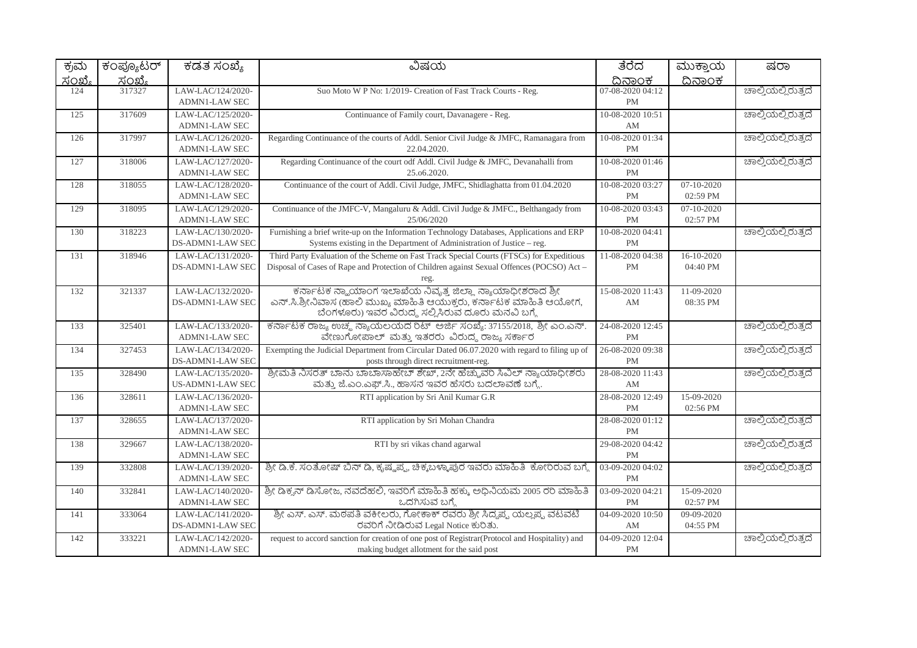| ಕ್ರಮ   | ಕಂಪ್ಯೂಟರ್ | ಕಡತ ಸಂಖ್ಯೆ                                | ವಿಷಯ                                                                                                                                                                                    | ತೆರೆದ                         | ಮುಕ್ತಾಯ                      | ಷರಾ                |
|--------|-----------|-------------------------------------------|-----------------------------------------------------------------------------------------------------------------------------------------------------------------------------------------|-------------------------------|------------------------------|--------------------|
| ಸಂಖ್ಯೆ | ಸಂಖ್ಯೆ    |                                           |                                                                                                                                                                                         | ದಿನಾಂಕ                        | ದಿನಾಂಕ                       |                    |
| 124    | 317327    | LAW-LAC/124/2020-<br><b>ADMN1-LAW SEC</b> | Suo Moto W P No: 1/2019- Creation of Fast Track Courts - Reg.                                                                                                                           | 07-08-2020 04:12<br><b>PM</b> |                              | ಚಾಲ್ತಿಯಲ್ಲಿರುತ್ತದೆ |
| 125    | 317609    | LAW-LAC/125/2020-<br><b>ADMN1-LAW SEC</b> | Continuance of Family court, Davanagere - Reg.                                                                                                                                          | 10-08-2020 10:51<br>AM        |                              | ಚಾಲ್ತಿಯಲ್ಲಿರುತ್ತದೆ |
| 126    | 317997    | LAW-LAC/126/2020-<br>ADMN1-LAW SEC        | Regarding Continuance of the courts of Addl. Senior Civil Judge & JMFC, Ramanagara from<br>22.04.2020.                                                                                  | 10-08-2020 01:34<br>PM        |                              | ಚಾಲ್ತಿಯಲ್ಲಿರುತ್ತದೆ |
| 127    | 318006    | LAW-LAC/127/2020-<br><b>ADMN1-LAW SEC</b> | Regarding Continuance of the court odf Addl. Civil Judge & JMFC, Devanahalli from<br>25.06.2020.                                                                                        | 10-08-2020 01:46<br><b>PM</b> |                              | ಚಾಲ್ತಿಯಲ್ಲಿರುತ್ತದೆ |
| 128    | 318055    | LAW-LAC/128/2020-<br><b>ADMN1-LAW SEC</b> | Continuance of the court of Addl. Civil Judge, JMFC, Shidlaghatta from 01.04.2020                                                                                                       | 10-08-2020 03:27<br><b>PM</b> | $07-10-2020$<br>02:59 PM     |                    |
| 129    | 318095    | LAW-LAC/129/2020-<br><b>ADMN1-LAW SEC</b> | Continuance of the JMFC-V, Mangaluru & Addl. Civil Judge & JMFC., Belthangady from<br>25/06/2020                                                                                        | 10-08-2020 03:43<br><b>PM</b> | $07 - 10 - 2020$<br>02:57 PM |                    |
| 130    | 318223    | LAW-LAC/130/2020-<br>DS-ADMN1-LAW SEC     | Furnishing a brief write-up on the Information Technology Databases, Applications and ERP<br>Systems existing in the Department of Administration of Justice - reg.                     | 10-08-2020 04:41<br><b>PM</b> |                              | ಚಾಲ್ತಿಯಲ್ಲಿರುತ್ತದೆ |
| 131    | 318946    | LAW-LAC/131/2020-<br>DS-ADMN1-LAW SEC     | Third Party Evaluation of the Scheme on Fast Track Special Courts (FTSCs) for Expeditious<br>Disposal of Cases of Rape and Protection of Children against Sexual Offences (POCSO) Act - | 11-08-2020 04:38<br><b>PM</b> | $16-10-2020$<br>04:40 PM     |                    |
| 132    | 321337    | LAW-LAC/132/2020-<br>DS-ADMN1-LAW SEC     | ಕರ್ನಾಟಕ ನ್ಹಾಯಾಂಗ ಇಲಾಖೆಯ ನಿವೃತ್ತ ಜಿಲ್ಲಾ ನ್ಯಾಯಾಧೀಶರಾದ ಶ್ರೀ<br>ಎನ್.ಸಿ.ಶ್ರೀನಿವಾಸ (ಹಾಲಿ ಮುಖ್ಯ ಮಾಹಿತಿ ಆಯುಕ್ತರು, ಕರ್ನಾಟಕ ಮಾಹಿತಿ ಆಯೋಗ,<br>ಬೆಂಗಳೂರು) ಇವರ ವಿರುದ್ಧ ಸಲ್ಲಿಸಿರುವ ದೂರು ಮನವಿ ಬಗ್ಗೆ      | 15-08-2020 11:43<br>AM        | 11-09-2020<br>08:35 PM       |                    |
| 133    | 325401    | LAW-LAC/133/2020-<br><b>ADMN1-LAW SEC</b> | ಕರ್ನಾಟಕ ರಾಜ್ಯ ಉಚ್ಛ ನ್ಯಾಯಲಯದ ರಿಟ್ ಅರ್ಜಿ ಸಂಖ್ಯೆ: 37155/2018, ಶ್ರೀ ಎಂ.ಎನ್.<br>ವೇಣುಗೋಪಾಲ್ ಮತ್ತು ಇತರರು ವಿರುದ್ಧ ರಾಜ್ಯ ಸರ್ಕಾರ                                                                  | 24-08-2020 12:45<br><b>PM</b> |                              | ಚಾಲ್ತಿಯಲ್ಲಿರುತ್ತದೆ |
| 134    | 327453    | LAW-LAC/134/2020-<br>DS-ADMN1-LAW SEC     | Exempting the Judicial Department from Circular Dated 06.07.2020 with regard to filing up of<br>posts through direct recruitment-reg.                                                   | 26-08-2020 09:38<br><b>PM</b> |                              | ಚಾಲ್ತಿಯಲ್ಲಿರುತ್ತದೆ |
| 135    | 328490    | LAW-LAC/135/2020-<br>US-ADMN1-LAW SEC     | ಶ್ರೀಮತಿ ನಿಸರತ್ ಬಾನು ಬಾಬಾಸಾಹೇಬ್ ಶೇಖ್, 2ನೇ ಹೆಚ್ಚುವರಿ ಸಿವಿಲ್ ನ್ಯಾಯಾಧೀಶರು<br>ಮತ್ತು ಜೆ.ಎಂ.ಎಫ್.ಸಿ., ಹಾಸನ ಇವರ ಹೆಸರು ಬದಲಾವಣೆ ಬಗ್ಗೆ.                                                             | 28-08-2020 11:43<br>AM        |                              | ಚಾಲ್ತಿಯಲ್ಲಿರುತ್ತದೆ |
| 136    | 328611    | LAW-LAC/136/2020-<br><b>ADMN1-LAW SEC</b> | RTI application by Sri Anil Kumar G.R                                                                                                                                                   | 28-08-2020 12:49<br><b>PM</b> | 15-09-2020<br>02:56 PM       |                    |
| 137    | 328655    | LAW-LAC/137/2020-<br>ADMN1-LAW SEC        | RTI application by Sri Mohan Chandra                                                                                                                                                    | 28-08-2020 01:12<br><b>PM</b> |                              | ಚಾಲ್ತಿಯಲ್ಲಿರುತ್ತದೆ |
| 138    | 329667    | LAW-LAC/138/2020-<br><b>ADMN1-LAW SEC</b> | RTI by sri vikas chand agarwal                                                                                                                                                          | 29-08-2020 04:42<br><b>PM</b> |                              | ಚಾಲ್ತಿಯಲ್ಲಿರುತ್ತದೆ |
| 139    | 332808    | LAW-LAC/139/2020-<br>ADMN1-LAW SEC        | ಶ್ರೀ ಡಿ.ಕೆ. ಸಂತೋಷ್ ಬಿನ್ ಡಿ, ಕೃಷ್ಣಪ್ಪ, ಚಿಕ್ಕಬಳ್ಳಾಪುರ ಇವರು ಮಾಹಿತಿ  ಕೋರಿರುವ ಬಗ್ಗೆ                                                                                                          | 03-09-2020 04:02<br>PM        |                              | ಚಾಲ್ತಿಯಲ್ಲಿರುತ್ತದೆ |
| 140    | 332841    | LAW-LAC/140/2020-<br><b>ADMN1-LAW SEC</b> | ಶ್ರೀ ಡಿಕ್ಕನ್ ಡಿಸೋಜ, ನವದೆಹಲಿ, ಇವರಿಗೆ ಮಾಹಿತಿ ಹಕ್ಕು, ಅಧಿನಿಯಮ 2005 ರರಿ ಮಾಹಿತಿ<br>ಒದಗಿಸುವ ಬಗ್ಗೆ                                                                                              | 03-09-2020 04:21<br>PM        | 15-09-2020<br>02:57 PM       |                    |
| 141    | 333064    | LAW-LAC/141/2020-<br>DS-ADMN1-LAW SEC     | ಶ್ರೀ ಎಸ್. ಎಸ್. ಮಠಪತಿ ವಕೀಲರು, ಗೋಕಾಕ್ ರವರು ಶ್ರೀ ಸಿದ್ದಪ್ಪ ಯಲ್ಲಪ್ಪ ವಟವಟಿ<br>ರವರಿಗೆ ನೀಡಿರುವ Legal Notice ಕುರಿತು.                                                                             | 04-09-2020 10:50<br>AM        | 09-09-2020<br>04:55 PM       |                    |
| 142    | 333221    | LAW-LAC/142/2020-<br><b>ADMN1-LAW SEC</b> | request to accord sanction for creation of one post of Registrar(Protocol and Hospitality) and<br>making budget allotment for the said post                                             | 04-09-2020 12:04<br><b>PM</b> |                              | ಚಾಲ್ತಿಯಲ್ಲಿರುತ್ತದೆ |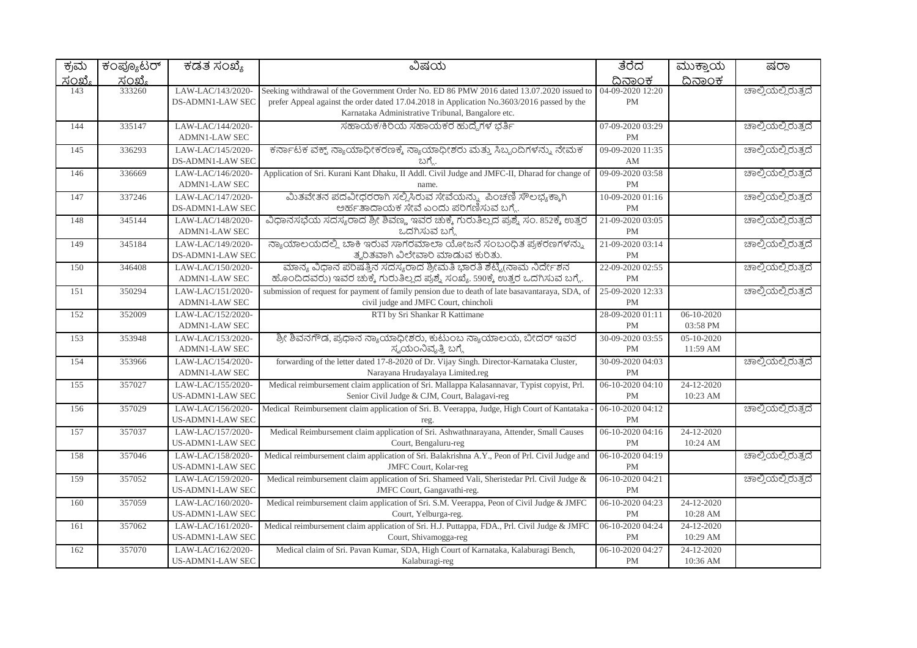| ಕ್ರಮ          | ಕಂಪ್ಯೂಟರ್     | ಕಡತ ಸಂಖ್ಯೆ                                   | ವಿಷಯ                                                                                                                                                                                                                                        | ತೆರೆದ                             | ಮುಕ್ತಾಯ                  | ಷರಾ                |
|---------------|---------------|----------------------------------------------|---------------------------------------------------------------------------------------------------------------------------------------------------------------------------------------------------------------------------------------------|-----------------------------------|--------------------------|--------------------|
| <u>ಸಂಖ್ಯೆ</u> | <u>ಸಂಖ್ಯೆ</u> |                                              |                                                                                                                                                                                                                                             | ದಿನಾಂಕ                            | <u>ದಿನಾಂಕ</u>            |                    |
| 143           | 333260        | LAW-LAC/143/2020-<br>DS-ADMN1-LAW SEC        | Seeking withdrawal of the Government Order No. ED 86 PMW 2016 dated 13.07.2020 issued to<br>prefer Appeal against the order dated 17.04.2018 in Application No.3603/2016 passed by the<br>Karnataka Administrative Tribunal, Bangalore etc. | 04-09-2020 12:20<br><b>PM</b>     |                          | ಚಾಲ್ತಿಯಲ್ಲಿರುತ್ತದೆ |
| 144           | 335147        | LAW-LAC/144/2020-<br>ADMN1-LAW SEC           | ಸಹಾಯಕ/ಕಿರಿಯ ಸಹಾಯಕರ ಹುದ್ದೆಗಳ ಭರ್ತಿ                                                                                                                                                                                                           | 07-09-2020 03:29<br>PM            |                          | ಚಾಲ್ತಿಯಲ್ಲಿರುತ್ತದೆ |
| 145           | 336293        | LAW-LAC/145/2020-<br>DS-ADMN1-LAW SEC        | ಕರ್ನಾಟಕ ವಕ್ಸ್ ನ್ಯಾಯಾಧೀಕರಣಕ್ಕೆ ನ್ಯಾಯಾಧೀಶರು ಮತ್ತು ಸಿಬ್ಬಂದಿಗಳನ್ನು ನೇಮಕ<br>ಬಗ್ಸೆ.                                                                                                                                                               | 09-09-2020 11:35<br>AM            |                          | ಚಾಲ್ತಿಯಲ್ಲಿರುತ್ತದೆ |
| 146           | 336669        | LAW-LAC/146/2020-<br>ADMN1-LAW SEC           | Application of Sri. Kurani Kant Dhaku, II Addl. Civil Judge and JMFC-II, Dharad for change of                                                                                                                                               | 09-09-2020 03:58<br><b>PM</b>     |                          | ಚಾಲ್ತಿಯಲ್ಲಿರುತ್ತದೆ |
| 147           | 337246        | LAW-LAC/147/2020-<br>DS-ADMN1-LAW SEC        | ಮಿತವೇತನ ಪದವೀಧರರಾಗಿ ಸಲ್ಲಿಸಿರುವ ಸೇವೆಯನ್ನು  ಪಿಂಚಣಿ ಸೌಲಭ್ಯಕ್ಕಾಗಿ<br>ಅರ್ಹತಾದಾಯಕ ಸೇವೆ ಎಂದು ಪರಿಗಣಿಸುವ ಬಗ್ಗೆ.                                                                                                                                       | 10-09-2020 01:16<br>PM            |                          | ಚಾಲ್ತಿಯಲ್ಲಿರುತ್ತದೆ |
| 148           | 345144        | LAW-LAC/148/2020-<br><b>ADMN1-LAW SEC</b>    | ವಿಧಾನಸಭೆಯ ಸದಸ್ಯರಾದ ಶ್ರೀ ಶಿವಣ್ಣ ಇವರ ಚುಕ್ಕೆ ಗುರುತಿಲ್ಲದ ಪ್ರಶ್ನೆ ಸಂ. 852ಕ್ಕೆ ಉತ್ತರ<br>ಒದಗಿಸುವ ಬಗ್ಗೆ                                                                                                                                             | 21-09-2020 03:05<br><b>PM</b>     |                          | ಚಾಲ್ತಿಯಲ್ಲಿರುತ್ತದೆ |
| 149           | 345184        | LAW-LAC/149/2020-<br>DS-ADMN1-LAW SEC        | ನ್ಯಾಯಾಲಯದಲ್ಲಿ ಬಾಕಿ ಇರುವ ಸಾಗರಮಾಲಾ ಯೋಜನೆ ಸಂಬಂಧಿತ ಪ್ರಕರಣಗಳನ್ನು<br>ತ್ವರಿತವಾಗಿ ವಿಲೇವಾರಿ ಮಾಡುವ ಕುರಿತು.                                                                                                                                            | 21-09-2020 03:14<br><b>PM</b>     |                          | ಚಾಲ್ತಿಯಲ್ಲಿರುತ್ತದೆ |
| 150           | 346408        | LAW-LAC/150/2020-<br><b>ADMN1-LAW SEC</b>    | ಮಾನ್ಯ ವಿಧಾನ ಪರಿಷತ್ತಿನ ಸದಸ್ಯರಾದ ಶ್ರೀಮತಿ ಭಾರತಿ ಶೆಟ್ಟಿ(ನಾಮ ನಿರ್ದೇಶನ<br>ಹೊಂದಿದವರು) ಇವರ ಚುಕ್ಕೆ ಗುರುತಿಲ್ಲದ ಪ್ರಶ್ನೆ ಸಂಖ್ಯೆ. 590ಕ್ಕೆ ಉತ್ತರ ಒದಗಿಸುವ ಬಗ್ಗೆ.                                                                                           | 22-09-2020 02:55<br>PM            |                          | ಚಾಲ್ತಿಯಲ್ಲಿರುತ್ತದೆ |
| 151           | 350294        | LAW-LAC/151/2020-<br><b>ADMN1-LAW SEC</b>    | submission of request for payment of family pension due to death of late basavantaraya, SDA, of<br>civil judge and JMFC Court, chincholi                                                                                                    | 25-09-2020 12:33<br>PM            |                          | ಚಾಲ್ತಿಯಲ್ಲಿರುತ್ತದೆ |
| 152           | 352009        | LAW-LAC/152/2020-<br><b>ADMN1-LAW SEC</b>    | RTI by Sri Shankar R Kattimane                                                                                                                                                                                                              | 28-09-2020 01:11<br>PM            | $06-10-2020$<br>03:58 PM |                    |
| 153           | 353948        | LAW-LAC/153/2020-<br><b>ADMN1-LAW SEC</b>    | ಶ್ರೀ ಶಿವನಗೌಡ, ಪ್ರಧಾನ ನ್ಯಾಯಾಧೀಶರು, ಕುಟುಂಬ ನ್ಯಾಯಾಲಯ, ಬೀದರ್ ಇವರ<br>ಸ್ವಯಂನಿವೃತ್ತಿ ಬಗ್ಗೆ                                                                                                                                                         | 30-09-2020 03:55<br><b>PM</b>     | 05-10-2020<br>11:59 AM   |                    |
| 154           | 353966        | LAW-LAC/154/2020-<br><b>ADMN1-LAW SEC</b>    | forwarding of the letter dated 17-8-2020 of Dr. Vijay Singh. Director-Karnataka Cluster,<br>Narayana Hrudayalaya Limited.reg                                                                                                                | 30-09-2020 04:03<br><b>PM</b>     |                          | ಚಾಲ್ತಿಯಲ್ಲಿರುತ್ತದೆ |
| 155           | 357027        | LAW-LAC/155/2020-<br>US-ADMN1-LAW SEC        | Medical reimbursement claim application of Sri. Mallappa Kalasannavar, Typist copyist, Prl.<br>Senior Civil Judge & CJM, Court, Balagavi-reg                                                                                                | $06-10-202004:10$<br><b>PM</b>    | 24-12-2020<br>10:23 AM   |                    |
| 156           | 357029        | LAW-LAC/156/2020-<br>US-ADMN1-LAW SEC        | Medical Reimbursement claim application of Sri. B. Veerappa, Judge, High Court of Kantataka<br>reg.                                                                                                                                         | 06-10-2020 04:12<br>PM            |                          | ಚಾಲ್ತಿಯಲ್ಲಿರುತ್ತದೆ |
| 157           | 357037        | LAW-LAC/157/2020-<br><b>US-ADMN1-LAW SEC</b> | Medical Reimbursement claim application of Sri. Ashwathnarayana, Attender, Small Causes<br>Court, Bengaluru-reg                                                                                                                             | 06-10-2020 04:16<br>PM            | 24-12-2020<br>10:24 AM   |                    |
| 158           | 357046        | LAW-LAC/158/2020-<br><b>US-ADMN1-LAW SEC</b> | Medical reimbursement claim application of Sri. Balakrishna A.Y., Peon of Prl. Civil Judge and<br>JMFC Court, Kolar-reg                                                                                                                     | 06-10-2020 04:19<br><b>PM</b>     |                          | ಚಾಲ್ತಿಯಲ್ಲಿರುತ್ತದೆ |
| 159           | 357052        | LAW-LAC/159/2020-<br><b>US-ADMN1-LAW SEC</b> | Medical reimbursement claim application of Sri. Shameed Vali, Sheristedar Prl. Civil Judge &<br>JMFC Court, Gangavathi-reg.                                                                                                                 | 06-10-2020 04:21<br>$\mathrm{PM}$ |                          | ಚಾಲ್ತಿಯಲ್ಲಿರುತ್ತದೆ |
| 160           | 357059        | LAW-LAC/160/2020-<br>US-ADMN1-LAW SEC        | Medical reimbursement claim application of Sri. S.M. Veerappa, Peon of Civil Judge & JMFC<br>Court, Yelburga-reg.                                                                                                                           | 06-10-2020 04:23<br>PM            | 24-12-2020<br>10:28 AM   |                    |
| 161           | 357062        | LAW-LAC/161/2020-<br>US-ADMN1-LAW SEC        | Medical reimbursement claim application of Sri. H.J. Puttappa, FDA., Prl. Civil Judge & JMFC<br>Court, Shivamogga-reg                                                                                                                       | 06-10-2020 04:24<br><b>PM</b>     | 24-12-2020<br>10:29 AM   |                    |
| 162           | 357070        | LAW-LAC/162/2020-<br>US-ADMN1-LAW SEC        | Medical claim of Sri. Pavan Kumar, SDA, High Court of Karnataka, Kalaburagi Bench,<br>Kalaburagi-reg                                                                                                                                        | 06-10-2020 04:27<br><b>PM</b>     | 24-12-2020<br>10:36 AM   |                    |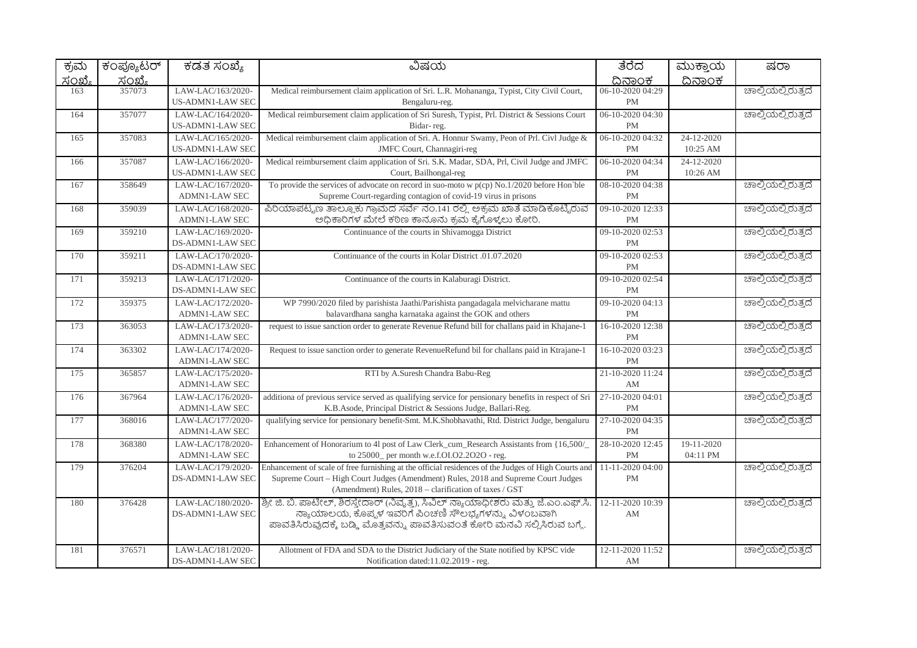| ಕ್ರಮ          | ಕಂಪ್ಯೂಟರ್     | ಕಡತ ಸಂಖ್ಯೆ                                   | ವಿಷಯ                                                                                                        | ತೆರೆದ                         | ಮುಕ್ತಾಯ       | ಷರಾ                |
|---------------|---------------|----------------------------------------------|-------------------------------------------------------------------------------------------------------------|-------------------------------|---------------|--------------------|
| <u>ಸಂಖ್ಯೆ</u> | <u>ಸಂಖ್ಯೆ</u> |                                              |                                                                                                             | ದಿನಾಂಕ                        | <u>ದಿನಾಂಕ</u> |                    |
| 163           | 357073        | LAW-LAC/163/2020-<br><b>US-ADMN1-LAW SEC</b> | Medical reimbursement claim application of Sri. L.R. Mohananga, Typist, City Civil Court,<br>Bengaluru-reg. | 06-10-2020 04:29<br><b>PM</b> |               | ಚಾಲ್ತಿಯಲ್ಲಿರುತ್ತದೆ |
| 164           | 357077        | LAW-LAC/164/2020-                            | Medical reimbursement claim application of Sri Suresh, Typist, Prl. District & Sessions Court               | 06-10-2020 04:30              |               | ಚಾಲ್ತಿಯಲ್ಲಿರುತ್ತದೆ |
|               |               | US-ADMN1-LAW SEC                             | Bidar-reg.                                                                                                  | <b>PM</b>                     |               |                    |
| 165           | 357083        | LAW-LAC/165/2020-                            | Medical reimbursement claim application of Sri. A. Honnur Swamy, Peon of Prl. Civl Judge &                  | 06-10-2020 04:32              | 24-12-2020    |                    |
|               |               | <b>US-ADMN1-LAW SEC</b>                      | JMFC Court, Channagiri-reg                                                                                  | PM                            | 10:25 AM      |                    |
| 166           | 357087        | LAW-LAC/166/2020-                            | Medical reimbursement claim application of Sri. S.K. Madar, SDA, Prl, Civil Judge and JMFC                  | 06-10-2020 04:34              | 24-12-2020    |                    |
|               |               | US-ADMN1-LAW SEC                             | Court, Bailhongal-reg                                                                                       | <b>PM</b>                     | 10:26 AM      |                    |
| 167           | 358649        | LAW-LAC/167/2020-                            | To provide the services of advocate on record in suo-moto w $p(cp)$ No.1/2020 before Hon'ble                | 08-10-2020 04:38              |               | ಚಾಲ್ತಿಯಲ್ಲಿರುತ್ತದೆ |
|               |               | <b>ADMN1-LAW SEC</b>                         | Supreme Court-regarding contagion of covid-19 virus in prisons                                              | <b>PM</b>                     |               |                    |
| 168           | 359039        | LAW-LAC/168/2020-                            | ಪಿರಿಯಾಪಟ್ಟಣ ತಾಲ್ಲೂಕು ಗ್ರಾಮದ ಸರ್ವೆ ನಂ.141 ರಲ್ಲಿ ಅಕ್ರಮ ಖಾತೆ ಮಾಡಿಕೊಟ್ಟಿರುವ                                     | 09-10-2020 12:33              |               | ಚಾಲ್ತಿಯಲ್ಲಿರುತ್ತದೆ |
|               |               | <b>ADMN1-LAW SEC</b>                         | ಅಧಿಕಾರಿಗಳ ಮೇಲೆ ಕಠಿಣ ಕಾನೂನು ಕ್ರಮ ಕೈಗೊಳ್ಳಲು ಕೋರಿ.                                                             | <b>PM</b>                     |               |                    |
| 169           | 359210        | LAW-LAC/169/2020-                            | Continuance of the courts in Shivamogga District                                                            | 09-10-2020 02:53              |               | ಚಾಲ್ತಿಯಲ್ಲಿರುತ್ತದೆ |
|               |               | DS-ADMN1-LAW SEC                             |                                                                                                             | <b>PM</b>                     |               |                    |
| 170           | 359211        | LAW-LAC/170/2020-                            | Continuance of the courts in Kolar District .01.07.2020                                                     | 09-10-2020 02:53              |               | ಚಾಲ್ತಿಯಲ್ಲಿರುತ್ತದೆ |
|               |               | DS-ADMN1-LAW SEC                             |                                                                                                             | <b>PM</b>                     |               |                    |
| 171           | 359213        | LAW-LAC/171/2020-                            | Continuance of the courts in Kalaburagi District.                                                           | 09-10-2020 02:54              |               | ಚಾಲ್ತಿಯಲ್ಲಿರುತ್ತದೆ |
|               |               | DS-ADMN1-LAW SEC                             |                                                                                                             | <b>PM</b>                     |               |                    |
| 172           | 359375        | LAW-LAC/172/2020-<br>ADMN1-LAW SEC           | WP 7990/2020 filed by parishista Jaathi/Parishista pangadagala melvicharane mattu                           | 09-10-2020 04:13              |               | ಚಾಲ್ತಿಯಲ್ಲಿರುತ್ತದೆ |
|               |               |                                              | balavardhana sangha karnataka against the GOK and others                                                    | <b>PM</b>                     |               |                    |
| 173           | 363053        | LAW-LAC/173/2020-<br><b>ADMN1-LAW SEC</b>    | request to issue sanction order to generate Revenue Refund bill for challans paid in Khajane-1              | 16-10-2020 12:38<br><b>PM</b> |               | ಚಾಲ್ತಿಯಲ್ಲಿರುತ್ತದೆ |
| 174           | 363302        | LAW-LAC/174/2020-                            | Request to issue sanction order to generate RevenueRefund bil for challans paid in Ktrajane-1               | 16-10-2020 03:23              |               | ಚಾಲ್ತಿಯಲ್ಲಿರುತ್ತದೆ |
|               |               | <b>ADMN1-LAW SEC</b>                         |                                                                                                             | <b>PM</b>                     |               |                    |
| 175           | 365857        | LAW-LAC/175/2020-                            | RTI by A.Suresh Chandra Babu-Reg                                                                            | 21-10-2020 11:24              |               | ಚಾಲ್ತಿಯಲ್ಲಿರುತ್ತದೆ |
|               |               | <b>ADMN1-LAW SEC</b>                         |                                                                                                             | AM                            |               |                    |
| 176           | 367964        | LAW-LAC/176/2020-                            | additiona of previous service served as qualifying service for pensionary benefits in respect of Sri        | 27-10-2020 04:01              |               | ಚಾಲ್ತಿಯಲ್ಲಿರುತ್ತದೆ |
|               |               | <b>ADMN1-LAW SEC</b>                         | K.B.Asode, Principal District & Sessions Judge, Ballari-Reg.                                                | <b>PM</b>                     |               |                    |
| 177           | 368016        | LAW-LAC/177/2020-                            | qualifying service for pensionary benefit-Smt. M.K.Shobhavathi, Rtd. District Judge, bengaluru              | 27-10-2020 04:35              |               | ಚಾಲ್ತಿಯಲ್ಲಿರುತ್ತದೆ |
|               |               | <b>ADMN1-LAW SEC</b>                         |                                                                                                             | PM                            |               |                    |
| 178           | 368380        | LAW-LAC/178/2020-                            | Enhancement of Honorarium to 41 post of Law Clerk_cum_Research Assistants from {16,500/                     | 28-10-2020 12:45              | 19-11-2020    |                    |
|               |               | <b>ADMN1-LAW SEC</b>                         | to 25000_ per month w.e.f.OI.O2.2O2O - reg.                                                                 | <b>PM</b>                     | 04:11 PM      |                    |
| 179           | 376204        | LAW-LAC/179/2020-                            | Enhancement of scale of free furnishing at the official residences of the Judges of High Courts and         | 11-11-2020 04:00              |               | ಚಾಲ್ತಿಯಲ್ಲಿರುತ್ತದೆ |
|               |               | DS-ADMN1-LAW SEC                             | Supreme Court - High Court Judges (Amendment) Rules, 2018 and Supreme Court Judges                          | <b>PM</b>                     |               |                    |
|               |               |                                              | (Amendment) Rules, 2018 – clarification of taxes / GST                                                      |                               |               |                    |
| 180           | 376428        | LAW-LAC/180/2020-                            | ಶ್ರೀ ಜಿ. ಬಿ. ಪಾಟೀಲ್, ಶಿರಸ್ತೇದಾರ್ (ನಿವೃತ್ತ), ಸಿವಿಲ್ ನ್ಯಾಯಾಧೀಶರು ಮತ್ತು ಜೆ.ಎಂ.ಎಫ್.ಸಿ                           | 12-11-2020 10:39              |               | ಚಾಲ್ತಿಯಲ್ಲಿರುತ್ತದೆ |
|               |               | DS-ADMN1-LAW SEC                             | ನ್ಯಾಯಾಲಯ, ಕೊಪ್ಪಳ ಇವರಿಗೆ ಪಿಂಚಣಿ ಸೌಲಭ್ಯಗಳನ್ನು, ವಿಳಂಬವಾಗಿ                                                      | AM                            |               |                    |
|               |               |                                              | ಪಾವತಿಸಿರುವುದಕ್ಕೆ ಬಡ್ಡಿ ಮೊತ್ತವನ್ನು ಪಾವತಿಸುವಂತೆ ಕೋರಿ ಮನವಿ ಸಲ್ಲಿಸಿರುವ ಬಗ್ಗೆ.                                   |                               |               |                    |
|               |               |                                              |                                                                                                             |                               |               |                    |
| 181           | 376571        | LAW-LAC/181/2020-                            | Allotment of FDA and SDA to the District Judiciary of the State notified by KPSC vide                       | 12-11-2020 11:52              |               | ಚಾಲ್ತಿಯಲ್ಲಿರುತ್ತದೆ |
|               |               | DS-ADMN1-LAW SEC                             | Notification dated:11.02.2019 - reg.                                                                        | AM                            |               |                    |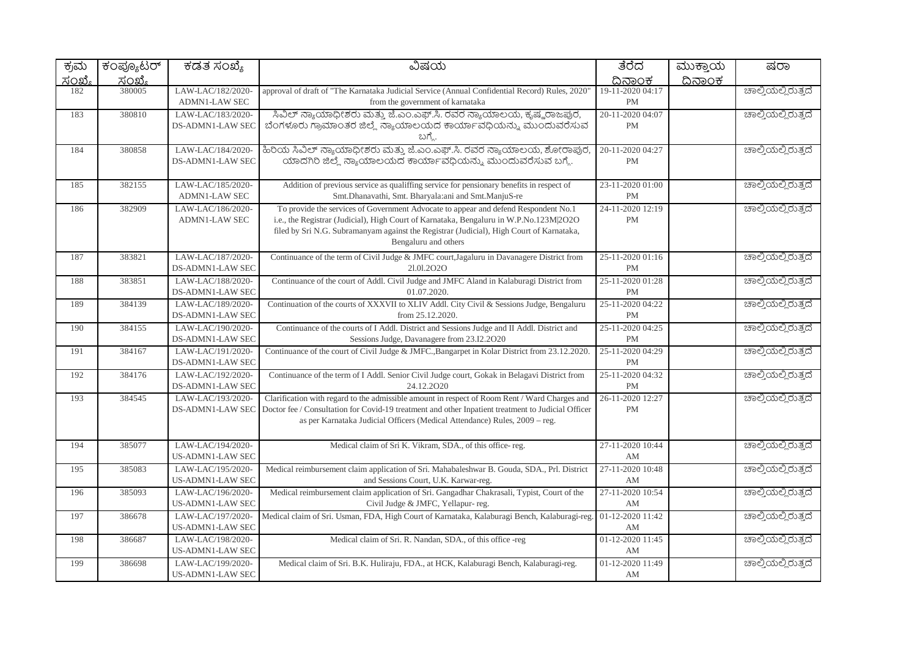| ಕ್ರಮ   | ಕಂಪ್ಯೂಟರ್ | ಕಡತ ಸಂಖ್ಯೆ                                   | ವಿಷಯ                                                                                                                                                                                                                                                                                              | ತೆರೆದ                         | ಮುಕ್ತಾಯ | ಷರಾ                |
|--------|-----------|----------------------------------------------|---------------------------------------------------------------------------------------------------------------------------------------------------------------------------------------------------------------------------------------------------------------------------------------------------|-------------------------------|---------|--------------------|
| ಸಂಖ್ಯೆ | ಸಂಖ್ಯೆ    |                                              |                                                                                                                                                                                                                                                                                                   | ದಿನಾಂಕ                        | ದಿನಾಂಕ  |                    |
| 182    | 380005    | LAW-LAC/182/2020-<br><b>ADMN1-LAW SEC</b>    | approval of draft of "The Karnataka Judicial Service (Annual Confidential Record) Rules, 2020'<br>from the government of karnataka                                                                                                                                                                | 19-11-2020 04:17<br><b>PM</b> |         | ಚಾಲ್ತಿಯಲ್ಲಿರುತ್ತದೆ |
| 183    | 380810    | LAW-LAC/183/2020-<br>DS-ADMN1-LAW SEC        | ಸಿವಿಲ್ ನ್ಯಾಯಾಧೀಶರು ಮತ್ತು ಜೆ.ಎಂ.ಎಫ್.ಸಿ. ರವರ ನ್ಯಾಯಾಲಯ, ಕೃಷ್ಣರಾಜಪುರ,<br>ಬೆಂಗಳೂರು ಗ್ರಾಮಾಂತರ ಜಿಲ್ಲೆ ನ್ಯಾಯಾಲಯದ ಕಾರ್ಯಾವಧಿಯನ್ನು ಮುಂದುವರೆಸುವ<br>ಬಗೆ                                                                                                                                                        | 20-11-2020 04:07<br><b>PM</b> |         | ಚಾಲ್ತಿಯಲ್ಲಿರುತ್ತದೆ |
| 184    | 380858    | LAW-LAC/184/2020-<br>DS-ADMN1-LAW SEC        | ಹಿರಿಯ ಸಿವಿಲ್ ನ್ಯಾಯಾಧೀಶರು ಮತ್ತು ಜೆ.ಎಂ.ಎಫ್.ಸಿ. ರವರ ನ್ಯಾಯಾಲಯ, ಶೋರಾಪುರ<br>ಯಾದಗಿರಿ ಜಿಲ್ಲೆ ನ್ಯಾಯಾಲಯದ ಕಾರ್ಯಾವಧಿಯನ್ನು ಮುಂದುವರೆಸುವ ಬಗ್ಗೆ.                                                                                                                                                                  | 20-11-2020 04:27<br><b>PM</b> |         | ಚಾಲ್ಲಿಯಲ್ಲಿರುತ್ತದೆ |
| 185    | 382155    | LAW-LAC/185/2020-<br><b>ADMN1-LAW SEC</b>    | Addition of previous service as qualiffing service for pensionary benefits in respect of<br>Smt.Dhanavathi, Smt. Bharyala:ani and Smt.ManjuS-re                                                                                                                                                   | 23-11-2020 01:00<br><b>PM</b> |         | ಚಾಲ್ತಿಯಲ್ಲಿರುತ್ತದೆ |
| 186    | 382909    | LAW-LAC/186/2020-<br><b>ADMN1-LAW SEC</b>    | To provide the services of Government Advocate to appear and defend Respondent No.1<br>i.e., the Registrar (Judicial), High Court of Karnataka, Bengaluru in W.P.No.123M 2O2O<br>filed by Sri N.G. Subramanyam against the Registrar (Judicial), High Court of Karnataka,<br>Bengaluru and others | 24-11-2020 12:19<br>PM        |         | ಚಾಲ್ತಿಯಲ್ಲಿರುತ್ತದೆ |
| 187    | 383821    | LAW-LAC/187/2020-<br>DS-ADMN1-LAW SEC        | Continuance of the term of Civil Judge & JMFC court, Jagaluru in Davanagere District from<br>21.01.2020                                                                                                                                                                                           | 25-11-2020 01:16<br><b>PM</b> |         | ಚಾಲ್ತಿಯಲ್ಲಿರುತ್ತದೆ |
| 188    | 383851    | LAW-LAC/188/2020-<br>DS-ADMN1-LAW SEC        | Continuance of the court of Addl. Civil Judge and JMFC Aland in Kalaburagi District from<br>01.07.2020.                                                                                                                                                                                           | 25-11-2020 01:28<br><b>PM</b> |         | ಚಾಲ್ತಿಯಲ್ಲಿರುತ್ತದೆ |
| 189    | 384139    | LAW-LAC/189/2020-<br>DS-ADMN1-LAW SEC        | Continuation of the courts of XXXVII to XLIV Addl. City Civil & Sessions Judge, Bengaluru<br>from 25.12.2020.                                                                                                                                                                                     | 25-11-2020 04:22<br><b>PM</b> |         | ಚಾಲ್ಲಿಯಲ್ಲಿರುತ್ತದೆ |
| 190    | 384155    | LAW-LAC/190/2020-<br>DS-ADMN1-LAW SEC        | Continuance of the courts of I Addl. District and Sessions Judge and II Addl. District and<br>Sessions Judge, Davanagere from 23.I2.2O20                                                                                                                                                          | 25-11-2020 04:25<br><b>PM</b> |         | ಚಾಲ್ತಿಯಲ್ಲಿರುತ್ತದೆ |
| 191    | 384167    | LAW-LAC/191/2020-<br>DS-ADMN1-LAW SEC        | Continuance of the court of Civil Judge & JMFC., Bangarpet in Kolar District from 23.12.2020.                                                                                                                                                                                                     | 25-11-2020 04:29<br>PM        |         | ಚಾಲ್ತಿಯಲ್ಲಿರುತ್ತದೆ |
| 192    | 384176    | LAW-LAC/192/2020-<br>DS-ADMN1-LAW SEC        | Continuance of the term of I Addl. Senior Civil Judge court, Gokak in Belagavi District from<br>24.12.2020                                                                                                                                                                                        | 25-11-2020 04:32<br><b>PM</b> |         | ಚಾಲ್ತಿಯಲ್ಲಿರುತ್ತದೆ |
| 193    | 384545    | LAW-LAC/193/2020-<br>DS-ADMN1-LAW SEC        | Clarification with regard to the admissible amount in respect of Room Rent / Ward Charges and<br>Doctor fee / Consultation for Covid-19 treatment and other Inpatient treatment to Judicial Officer<br>as per Karnataka Judicial Officers (Medical Attendance) Rules, 2009 – reg.                 | 26-11-2020 12:27<br><b>PM</b> |         | ಚಾಲ್ತಿಯಲ್ಲಿರುತ್ತದೆ |
| 194    | 385077    | LAW-LAC/194/2020-<br>US-ADMN1-LAW SEC        | Medical claim of Sri K. Vikram, SDA., of this office-reg.                                                                                                                                                                                                                                         | 27-11-2020 10:44<br>AM        |         | ಚಾಲ್ಲಿಯಲ್ಲಿರುತ್ತದೆ |
| 195    | 385083    | LAW-LAC/195/2020-<br>US-ADMN1-LAW SEC        | Medical reimbursement claim application of Sri. Mahabaleshwar B. Gouda, SDA., Prl. District<br>and Sessions Court, U.K. Karwar-reg.                                                                                                                                                               | 27-11-2020 10:48<br>AM        |         | ಚಾಲ್ತಿಯಲ್ಲಿರುತ್ತದೆ |
| 196    | 385093    | LAW-LAC/196/2020-<br><b>US-ADMN1-LAW SEC</b> | Medical reimbursement claim application of Sri. Gangadhar Chakrasali, Typist, Court of the<br>Civil Judge & JMFC, Yellapur-reg.                                                                                                                                                                   | 27-11-2020 10:54<br>AM        |         | ಚಾಲ್ತಿಯಲ್ಲಿರುತ್ತದೆ |
| 197    | 386678    | LAW-LAC/197/2020-<br>US-ADMN1-LAW SEC        | Medical claim of Sri. Usman, FDA, High Court of Karnataka, Kalaburagi Bench, Kalaburagi-reg                                                                                                                                                                                                       | 01-12-2020 11:42<br>AM        |         | ಚಾಲ್ತಿಯಲ್ಲಿರುತ್ತದೆ |
| 198    | 386687    | LAW-LAC/198/2020-<br>US-ADMN1-LAW SEC        | Medical claim of Sri. R. Nandan, SDA., of this office -reg                                                                                                                                                                                                                                        | 01-12-2020 11:45<br>AM        |         | ಚಾಲ್ತಿಯಲ್ಲಿರುತ್ತದೆ |
| 199    | 386698    | LAW-LAC/199/2020-<br>US-ADMN1-LAW SEC        | Medical claim of Sri. B.K. Huliraju, FDA., at HCK, Kalaburagi Bench, Kalaburagi-reg.                                                                                                                                                                                                              | 01-12-2020 11:49<br>AM        |         | ಚಾಲ್ಲಿಯಲ್ಲಿರುತ್ತದೆ |